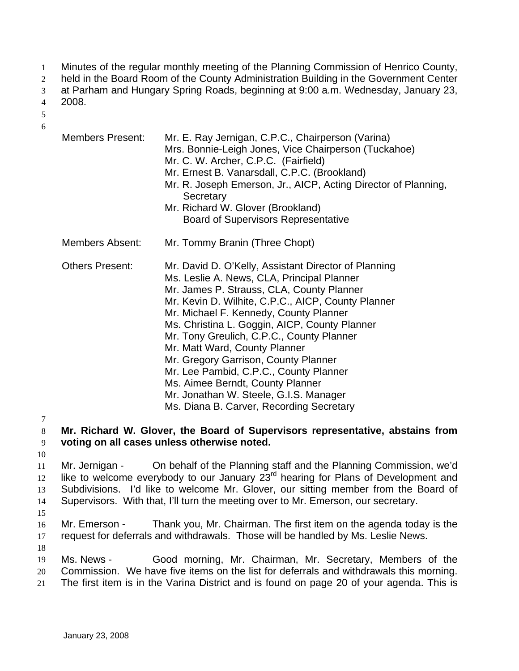- Minutes of the regular monthly meeting of the Planning Commission of Henrico County, 1
- held in the Board Room of the County Administration Building in the Government Center 2
- at Parham and Hungary Spring Roads, beginning at 9:00 a.m. Wednesday, January 23, 3
- 2008. 4
- 5 6
- Members Present: Mr. E. Ray Jernigan, C.P.C., Chairperson (Varina) Mrs. Bonnie-Leigh Jones, Vice Chairperson (Tuckahoe) Mr. C. W. Archer, C.P.C. (Fairfield) Mr. Ernest B. Vanarsdall, C.P.C. (Brookland) Mr. R. Joseph Emerson, Jr., AICP, Acting Director of Planning, **Secretary** Mr. Richard W. Glover (Brookland) Board of Supervisors Representative Members Absent: Mr. Tommy Branin (Three Chopt) Others Present: Mr. David D. O'Kelly, Assistant Director of Planning Ms. Leslie A. News, CLA, Principal Planner Mr. James P. Strauss, CLA, County Planner Mr. Kevin D. Wilhite, C.P.C., AICP, County Planner Mr. Michael F. Kennedy, County Planner Ms. Christina L. Goggin, AICP, County Planner Mr. Tony Greulich, C.P.C., County Planner Mr. Matt Ward, County Planner Mr. Gregory Garrison, County Planner Mr. Lee Pambid, C.P.C., County Planner Ms. Aimee Berndt, County Planner Mr. Jonathan W. Steele, G.I.S. Manager Ms. Diana B. Carver, Recording Secretary
- 7

8 9 **Mr. Richard W. Glover, the Board of Supervisors representative, abstains from voting on all cases unless otherwise noted.** 

10

11 12 13 14 Mr. Jernigan - On behalf of the Planning staff and the Planning Commission, we'd like to welcome everybody to our January  $23<sup>rd</sup>$  hearing for Plans of Development and Subdivisions. I'd like to welcome Mr. Glover, our sitting member from the Board of Supervisors. With that, I'll turn the meeting over to Mr. Emerson, our secretary.

- 15
- 16 17 Mr. Emerson - Thank you, Mr. Chairman. The first item on the agenda today is the request for deferrals and withdrawals. Those will be handled by Ms. Leslie News.
- 18
- 19 20 Ms. News - Good morning, Mr. Chairman, Mr. Secretary, Members of the Commission. We have five items on the list for deferrals and withdrawals this morning.
- 21 The first item is in the Varina District and is found on page 20 of your agenda. This is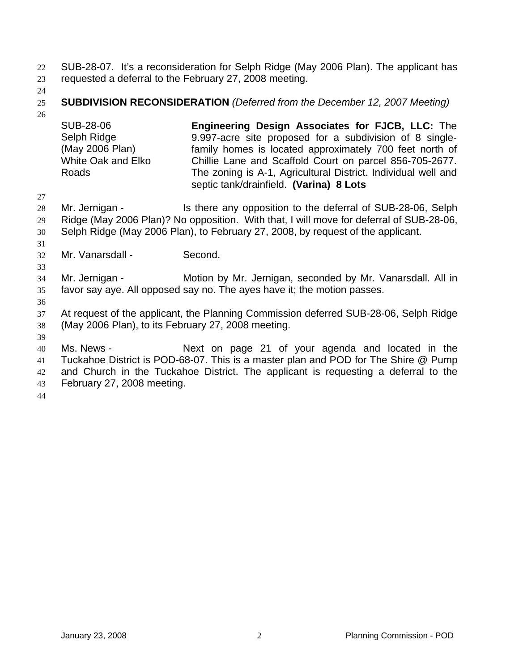SUB-28-07. It's a reconsideration for Selph Ridge (May 2006 Plan). The applicant has requested a deferral to the February 27, 2008 meeting. 22 23

24

### 25 **SUBDIVISION RECONSIDERATION** *(Deferred from the December 12, 2007 Meeting)*

26

SUB-28-06 Selph Ridge (May 2006 Plan) White Oak and Elko Roads **Engineering Design Associates for FJCB, LLC:** The 9.997-acre site proposed for a subdivision of 8 singlefamily homes is located approximately 700 feet north of Chillie Lane and Scaffold Court on parcel 856-705-2677. The zoning is A-1, Agricultural District. Individual well and septic tank/drainfield. **(Varina) 8 Lots** 

27 28 29 30 Mr. Jernigan - The Is there any opposition to the deferral of SUB-28-06, Selph Ridge (May 2006 Plan)? No opposition. With that, I will move for deferral of SUB-28-06, Selph Ridge (May 2006 Plan), to February 27, 2008, by request of the applicant.

32 Mr. Vanarsdall - Second.

33 34 35 Mr. Jernigan - **Motion by Mr. Jernigan, seconded by Mr. Vanarsdall.** All in favor say aye. All opposed say no. The ayes have it; the motion passes.

36

31

37 38 At request of the applicant, the Planning Commission deferred SUB-28-06, Selph Ridge (May 2006 Plan), to its February 27, 2008 meeting.

39

40 41 42 43 Ms. News - The Mext on page 21 of your agenda and located in the Tuckahoe District is POD-68-07. This is a master plan and POD for The Shire @ Pump and Church in the Tuckahoe District. The applicant is requesting a deferral to the February 27, 2008 meeting.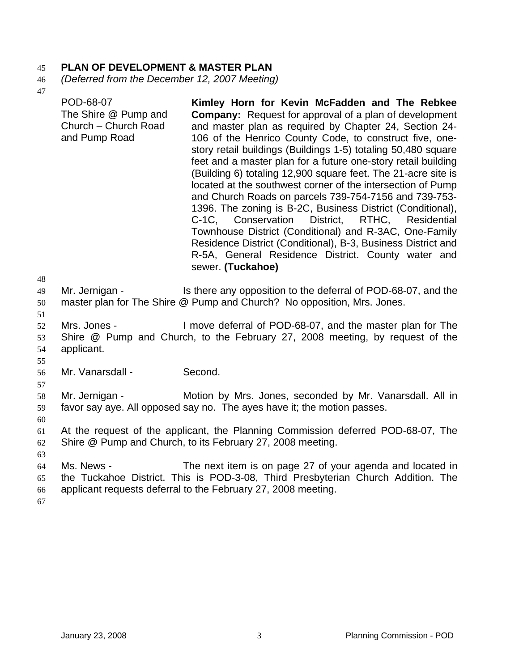# 45 **PLAN OF DEVELOPMENT & MASTER PLAN**

- 46 *(Deferred from the December 12, 2007 Meeting)*
- 47

| 48                   | POD-68-07<br>The Shire @ Pump and<br>Church - Church Road<br>and Pump Road | Kimley Horn for Kevin McFadden and The Rebkee<br><b>Company:</b> Request for approval of a plan of development<br>and master plan as required by Chapter 24, Section 24-<br>106 of the Henrico County Code, to construct five, one-<br>story retail buildings (Buildings 1-5) totaling 50,480 square<br>feet and a master plan for a future one-story retail building<br>(Building 6) totaling 12,900 square feet. The 21-acre site is<br>located at the southwest corner of the intersection of Pump<br>and Church Roads on parcels 739-754-7156 and 739-753-<br>1396. The zoning is B-2C, Business District (Conditional),<br>C-1C, Conservation District, RTHC, Residential<br>Townhouse District (Conditional) and R-3AC, One-Family<br>Residence District (Conditional), B-3, Business District and<br>R-5A, General Residence District. County water and<br>sewer. (Tuckahoe) |
|----------------------|----------------------------------------------------------------------------|-------------------------------------------------------------------------------------------------------------------------------------------------------------------------------------------------------------------------------------------------------------------------------------------------------------------------------------------------------------------------------------------------------------------------------------------------------------------------------------------------------------------------------------------------------------------------------------------------------------------------------------------------------------------------------------------------------------------------------------------------------------------------------------------------------------------------------------------------------------------------------------|
| 49<br>50<br>51       | Mr. Jernigan -                                                             | Is there any opposition to the deferral of POD-68-07, and the<br>master plan for The Shire @ Pump and Church? No opposition, Mrs. Jones.                                                                                                                                                                                                                                                                                                                                                                                                                                                                                                                                                                                                                                                                                                                                            |
| 52<br>53<br>54<br>55 | Mrs. Jones -<br>applicant.                                                 | I move deferral of POD-68-07, and the master plan for The<br>Shire @ Pump and Church, to the February 27, 2008 meeting, by request of the                                                                                                                                                                                                                                                                                                                                                                                                                                                                                                                                                                                                                                                                                                                                           |
| 56<br>57             | Mr. Vanarsdall -                                                           | Second.                                                                                                                                                                                                                                                                                                                                                                                                                                                                                                                                                                                                                                                                                                                                                                                                                                                                             |
| 58<br>59<br>60       | Mr. Jernigan -                                                             | Motion by Mrs. Jones, seconded by Mr. Vanarsdall. All in<br>favor say aye. All opposed say no. The ayes have it; the motion passes.                                                                                                                                                                                                                                                                                                                                                                                                                                                                                                                                                                                                                                                                                                                                                 |
| 61<br>62<br>63       |                                                                            | At the request of the applicant, the Planning Commission deferred POD-68-07, The<br>Shire @ Pump and Church, to its February 27, 2008 meeting.                                                                                                                                                                                                                                                                                                                                                                                                                                                                                                                                                                                                                                                                                                                                      |
| 64<br>65<br>66<br>67 | Ms. News -                                                                 | The next item is on page 27 of your agenda and located in<br>the Tuckahoe District. This is POD-3-08, Third Presbyterian Church Addition. The<br>applicant requests deferral to the February 27, 2008 meeting.                                                                                                                                                                                                                                                                                                                                                                                                                                                                                                                                                                                                                                                                      |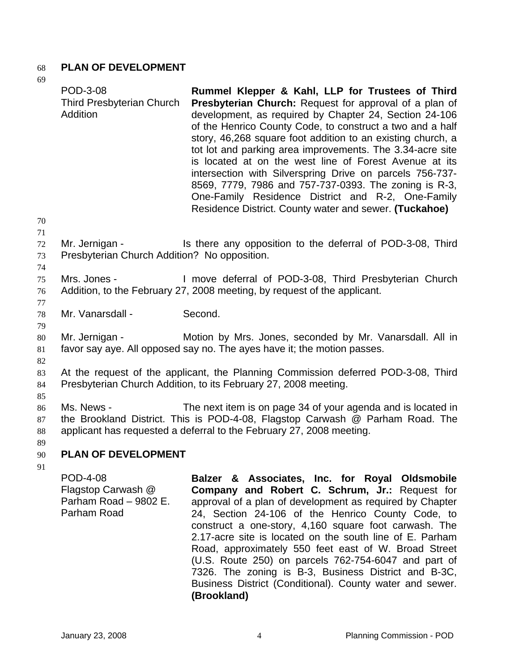### 68 **PLAN OF DEVELOPMENT**

| 69                   |                                                                |                                                                                                                                                                                                                                                                                                                                                                                                                                                                                                                                                                                                                                                             |
|----------------------|----------------------------------------------------------------|-------------------------------------------------------------------------------------------------------------------------------------------------------------------------------------------------------------------------------------------------------------------------------------------------------------------------------------------------------------------------------------------------------------------------------------------------------------------------------------------------------------------------------------------------------------------------------------------------------------------------------------------------------------|
|                      | POD-3-08<br><b>Third Presbyterian Church</b><br>Addition       | Rummel Klepper & Kahl, LLP for Trustees of Third<br>Presbyterian Church: Request for approval of a plan of<br>development, as required by Chapter 24, Section 24-106<br>of the Henrico County Code, to construct a two and a half<br>story, 46,268 square foot addition to an existing church, a<br>tot lot and parking area improvements. The 3.34-acre site<br>is located at on the west line of Forest Avenue at its<br>intersection with Silverspring Drive on parcels 756-737-<br>8569, 7779, 7986 and 757-737-0393. The zoning is R-3,<br>One-Family Residence District and R-2, One-Family<br>Residence District. County water and sewer. (Tuckahoe) |
| 70                   |                                                                |                                                                                                                                                                                                                                                                                                                                                                                                                                                                                                                                                                                                                                                             |
| 71<br>72<br>73       | Mr. Jernigan -<br>Presbyterian Church Addition? No opposition. | Is there any opposition to the deferral of POD-3-08, Third                                                                                                                                                                                                                                                                                                                                                                                                                                                                                                                                                                                                  |
| 74<br>75<br>76<br>77 | Mrs. Jones -                                                   | I move deferral of POD-3-08, Third Presbyterian Church<br>Addition, to the February 27, 2008 meeting, by request of the applicant.                                                                                                                                                                                                                                                                                                                                                                                                                                                                                                                          |
| 78<br>79             | Mr. Vanarsdall -                                               | Second.                                                                                                                                                                                                                                                                                                                                                                                                                                                                                                                                                                                                                                                     |
| 80<br>81             | Mr. Jernigan -                                                 | Motion by Mrs. Jones, seconded by Mr. Vanarsdall. All in<br>favor say aye. All opposed say no. The ayes have it; the motion passes.                                                                                                                                                                                                                                                                                                                                                                                                                                                                                                                         |
| 82<br>83<br>84       |                                                                | At the request of the applicant, the Planning Commission deferred POD-3-08, Third<br>Presbyterian Church Addition, to its February 27, 2008 meeting.                                                                                                                                                                                                                                                                                                                                                                                                                                                                                                        |
| 85<br>86<br>87<br>88 | Ms. News -                                                     | The next item is on page 34 of your agenda and is located in<br>the Brookland District. This is POD-4-08, Flagstop Carwash @ Parham Road. The<br>applicant has requested a deferral to the February 27, 2008 meeting.                                                                                                                                                                                                                                                                                                                                                                                                                                       |
| 89<br>90             | <b>PLAN OF DEVELOPMENT</b>                                     |                                                                                                                                                                                                                                                                                                                                                                                                                                                                                                                                                                                                                                                             |
| 91                   |                                                                |                                                                                                                                                                                                                                                                                                                                                                                                                                                                                                                                                                                                                                                             |
|                      | <b>POD-4-08</b><br>Flagstop Carwash @                          | Balzer & Associates, Inc. for Royal Oldsmobile<br>Company and Robert C. Schrum, Jr.: Request for                                                                                                                                                                                                                                                                                                                                                                                                                                                                                                                                                            |

Parham Road – 9802 E. Parham Road approval of a plan of development as required by Chapter 24, Section 24-106 of the Henrico County Code, to construct a one-story, 4,160 square foot carwash. The 2.17-acre site is located on the south line of E. Parham Road, approximately 550 feet east of W. Broad Street (U.S. Route 250) on parcels 762-754-6047 and part of 7326. The zoning is B-3, Business District and B-3C, Business District (Conditional). County water and sewer. **(Brookland)**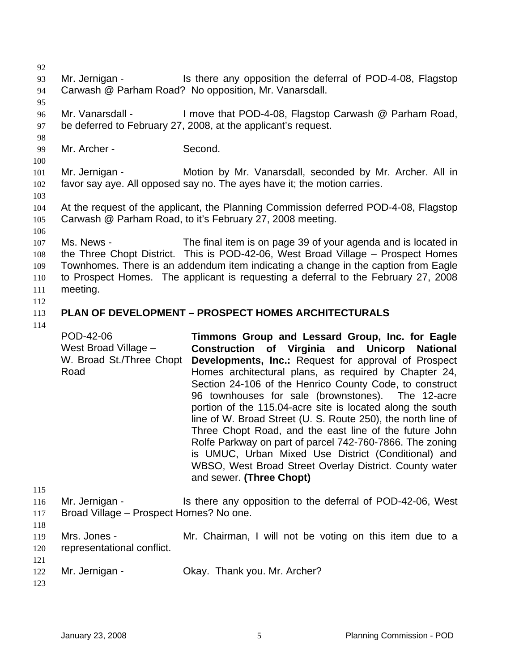92 93 94 95 96 97 98 99 100 101 102 103 104 105 106 107 108 109 110 111 112 113 114 115 116 117 118 119 120 121 122 123 Mr. Jernigan - Is there any opposition the deferral of POD-4-08, Flagstop Carwash @ Parham Road? No opposition, Mr. Vanarsdall. Mr. Vanarsdall - I move that POD-4-08, Flagstop Carwash @ Parham Road, be deferred to February 27, 2008, at the applicant's request. Mr. Archer - Second. Mr. Jernigan - **Motion by Mr. Vanarsdall, seconded by Mr. Archer. All in** favor say aye. All opposed say no. The ayes have it; the motion carries. At the request of the applicant, the Planning Commission deferred POD-4-08, Flagstop Carwash @ Parham Road, to it's February 27, 2008 meeting. Ms. News - The final item is on page 39 of your agenda and is located in the Three Chopt District. This is POD-42-06, West Broad Village – Prospect Homes Townhomes. There is an addendum item indicating a change in the caption from Eagle to Prospect Homes. The applicant is requesting a deferral to the February 27, 2008 meeting. **PLAN OF DEVELOPMENT – PROSPECT HOMES ARCHITECTURALS**  POD-42-06 West Broad Village – W. Broad St./Three Chopt Road **Timmons Group and Lessard Group, Inc. for Eagle Construction of Virginia and Unicorp National Developments, Inc.:** Request for approval of Prospect Homes architectural plans, as required by Chapter 24, Section 24-106 of the Henrico County Code, to construct 96 townhouses for sale (brownstones). The 12-acre portion of the 115.04-acre site is located along the south line of W. Broad Street (U. S. Route 250), the north line of Three Chopt Road, and the east line of the future John Rolfe Parkway on part of parcel 742-760-7866. The zoning is UMUC, Urban Mixed Use District (Conditional) and WBSO, West Broad Street Overlay District. County water and sewer. **(Three Chopt)**  Mr. Jernigan - Is there any opposition to the deferral of POD-42-06, West Broad Village – Prospect Homes? No one. Mrs. Jones - The Mr. Chairman, I will not be voting on this item due to a representational conflict. Mr. Jernigan - Ckay. Thank you. Mr. Archer?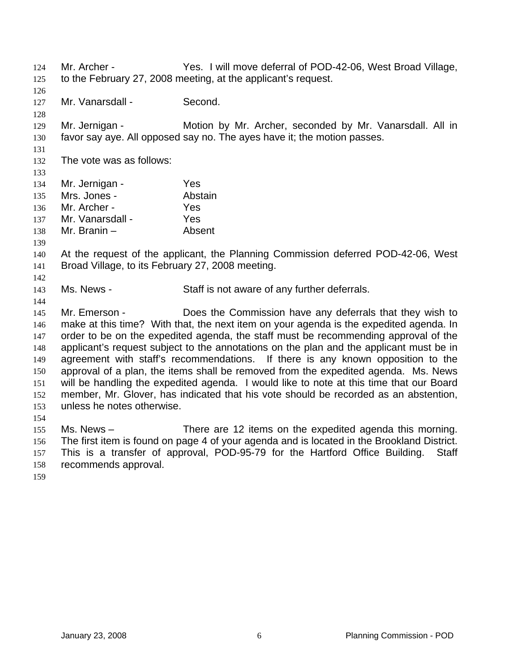Mr. Archer - Yes. I will move deferral of POD-42-06, West Broad Village, to the February 27, 2008 meeting, at the applicant's request. 124 125 126 127 128 129 130 131 132 133 134 135 136 137 138 139 140 141 142 143 144 145 146 147 148 149 150 151 152 153 154 155 156 157 Mr. Vanarsdall - Second. Mr. Jernigan - **Motion by Mr. Archer, seconded by Mr. Vanarsdall. All in** favor say aye. All opposed say no. The ayes have it; the motion passes. The vote was as follows: Mr. Jernigan - Yes Mrs. Jones - Abstain Mr. Archer - Yes Mr. Vanarsdall - Yes Mr. Branin – Absent At the request of the applicant, the Planning Commission deferred POD-42-06, West Broad Village, to its February 27, 2008 meeting. Ms. News - Staff is not aware of any further deferrals. Mr. Emerson - Does the Commission have any deferrals that they wish to make at this time? With that, the next item on your agenda is the expedited agenda. In order to be on the expedited agenda, the staff must be recommending approval of the applicant's request subject to the annotations on the plan and the applicant must be in agreement with staff's recommendations. If there is any known opposition to the approval of a plan, the items shall be removed from the expedited agenda. Ms. News will be handling the expedited agenda. I would like to note at this time that our Board member, Mr. Glover, has indicated that his vote should be recorded as an abstention, unless he notes otherwise. Ms. News – There are 12 items on the expedited agenda this morning. The first item is found on page 4 of your agenda and is located in the Brookland District. This is a transfer of approval, POD-95-79 for the Hartford Office Building. Staff

158 recommends approval.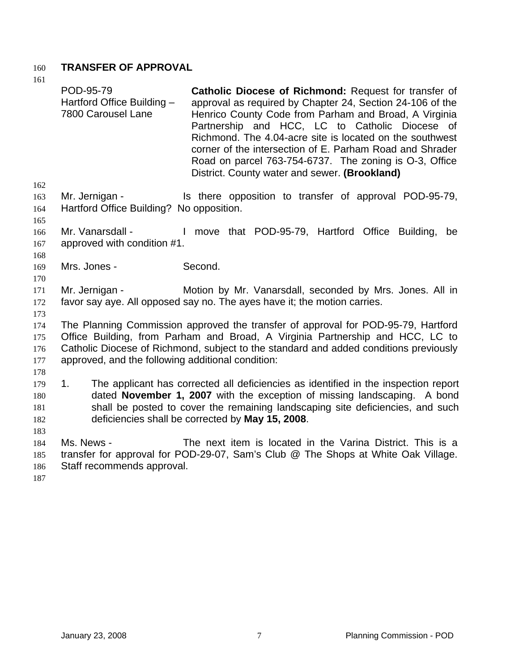## 160 **TRANSFER OF APPROVAL**

|            | POD-95-79<br>Hartford Office Building -<br>7800 Carousel Lane | Catholic Diocese of Richmond: Request for transfer of<br>approval as required by Chapter 24, Section 24-106 of the<br>Henrico County Code from Parham and Broad, A Virginia<br>Partnership and HCC, LC to Catholic Diocese of<br>Richmond. The 4.04-acre site is located on the southwest<br>corner of the intersection of E. Parham Road and Shrader<br>Road on parcel 763-754-6737. The zoning is O-3, Office<br>District. County water and sewer. (Brookland) |
|------------|---------------------------------------------------------------|------------------------------------------------------------------------------------------------------------------------------------------------------------------------------------------------------------------------------------------------------------------------------------------------------------------------------------------------------------------------------------------------------------------------------------------------------------------|
| 162        |                                                               |                                                                                                                                                                                                                                                                                                                                                                                                                                                                  |
| 163<br>164 | Mr. Jernigan -<br>Hartford Office Building? No opposition.    | Is there opposition to transfer of approval POD-95-79,                                                                                                                                                                                                                                                                                                                                                                                                           |
| 165        |                                                               |                                                                                                                                                                                                                                                                                                                                                                                                                                                                  |
| 166        | Mr. Vanarsdall -                                              | I move that POD-95-79, Hartford Office Building,<br>be                                                                                                                                                                                                                                                                                                                                                                                                           |
| 167        | approved with condition #1.                                   |                                                                                                                                                                                                                                                                                                                                                                                                                                                                  |
| 168        |                                                               |                                                                                                                                                                                                                                                                                                                                                                                                                                                                  |
| 169        | Mrs. Jones -                                                  | Second.                                                                                                                                                                                                                                                                                                                                                                                                                                                          |
| 170        |                                                               |                                                                                                                                                                                                                                                                                                                                                                                                                                                                  |
| 171        | Mr. Jernigan -                                                | Motion by Mr. Vanarsdall, seconded by Mrs. Jones. All in                                                                                                                                                                                                                                                                                                                                                                                                         |
| 172        |                                                               | favor say aye. All opposed say no. The ayes have it; the motion carries.                                                                                                                                                                                                                                                                                                                                                                                         |
| 173        |                                                               |                                                                                                                                                                                                                                                                                                                                                                                                                                                                  |
| 174        |                                                               | The Planning Commission approved the transfer of approval for POD-95-79, Hartford                                                                                                                                                                                                                                                                                                                                                                                |
| 175        |                                                               | Office Building, from Parham and Broad, A Virginia Partnership and HCC, LC to                                                                                                                                                                                                                                                                                                                                                                                    |
| 176        |                                                               | Catholic Diocese of Richmond, subject to the standard and added conditions previously                                                                                                                                                                                                                                                                                                                                                                            |
| 177        | approved, and the following additional condition:             |                                                                                                                                                                                                                                                                                                                                                                                                                                                                  |
| 178<br>179 | 1.                                                            | The applicant has corrected all deficiencies as identified in the inspection report                                                                                                                                                                                                                                                                                                                                                                              |
| 180        |                                                               | dated November 1, 2007 with the exception of missing landscaping. A bond                                                                                                                                                                                                                                                                                                                                                                                         |
| 181        |                                                               | shall be posted to cover the remaining landscaping site deficiencies, and such                                                                                                                                                                                                                                                                                                                                                                                   |
| 182        |                                                               | deficiencies shall be corrected by May 15, 2008.                                                                                                                                                                                                                                                                                                                                                                                                                 |
| 183        |                                                               |                                                                                                                                                                                                                                                                                                                                                                                                                                                                  |
| 184        | Ms. News -                                                    | The next item is located in the Varina District. This is a                                                                                                                                                                                                                                                                                                                                                                                                       |
| 185        |                                                               | transfer for approval for POD-29-07, Sam's Club @ The Shops at White Oak Village.                                                                                                                                                                                                                                                                                                                                                                                |
| 186        | Staff recommends approval.                                    |                                                                                                                                                                                                                                                                                                                                                                                                                                                                  |
| 187        |                                                               |                                                                                                                                                                                                                                                                                                                                                                                                                                                                  |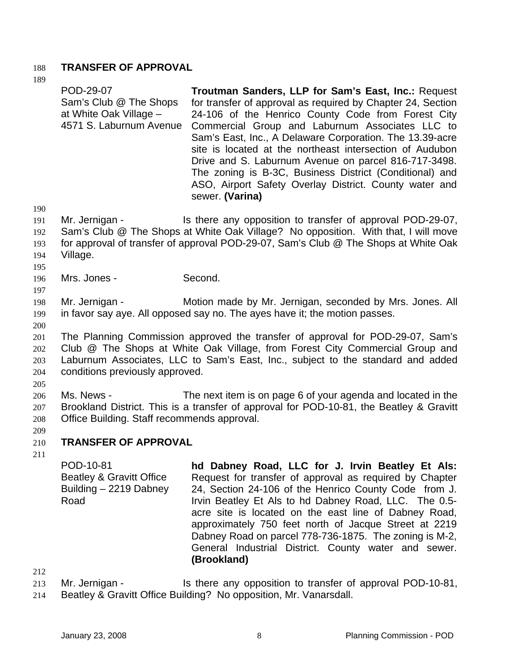### 188 **TRANSFER OF APPROVAL**

189

POD-29-07 Sam's Club @ The Shops at White Oak Village – 4571 S. Laburnum Avenue **Troutman Sanders, LLP for Sam's East, Inc.:** Request for transfer of approval as required by Chapter 24, Section 24-106 of the Henrico County Code from Forest City Commercial Group and Laburnum Associates LLC to Sam's East, Inc., A Delaware Corporation. The 13.39-acre site is located at the northeast intersection of Audubon Drive and S. Laburnum Avenue on parcel 816-717-3498. The zoning is B-3C, Business District (Conditional) and ASO, Airport Safety Overlay District. County water and sewer. **(Varina)** 

190

195 196 197

191 192 193 Mr. Jernigan - Is there any opposition to transfer of approval POD-29-07, Sam's Club @ The Shops at White Oak Village? No opposition. With that, I will move for approval of transfer of approval POD-29-07, Sam's Club @ The Shops at White Oak

- 194 Village.
	- Mrs. Jones Second.

198 199 Mr. Jernigan - **Motion made by Mr. Jernigan, seconded by Mrs. Jones. All** in favor say aye. All opposed say no. The ayes have it; the motion passes.

200

201 202 203 204 The Planning Commission approved the transfer of approval for POD-29-07, Sam's Club @ The Shops at White Oak Village, from Forest City Commercial Group and Laburnum Associates, LLC to Sam's East, Inc., subject to the standard and added conditions previously approved.

205

206 207 208 Ms. News - The next item is on page 6 of your agenda and located in the Brookland District. This is a transfer of approval for POD-10-81, the Beatley & Gravitt Office Building. Staff recommends approval.

209

#### 210 **TRANSFER OF APPROVAL**

211

POD-10-81 Beatley & Gravitt Office Building – 2219 Dabney Road **hd Dabney Road, LLC for J. Irvin Beatley Et Als:**  Request for transfer of approval as required by Chapter 24, Section 24-106 of the Henrico County Code from J. Irvin Beatley Et Als to hd Dabney Road, LLC. The 0.5 acre site is located on the east line of Dabney Road, approximately 750 feet north of Jacque Street at 2219 Dabney Road on parcel 778-736-1875. The zoning is M-2, General Industrial District. County water and sewer. **(Brookland)** 

212

213 214 Mr. Jernigan - Is there any opposition to transfer of approval POD-10-81, Beatley & Gravitt Office Building? No opposition, Mr. Vanarsdall.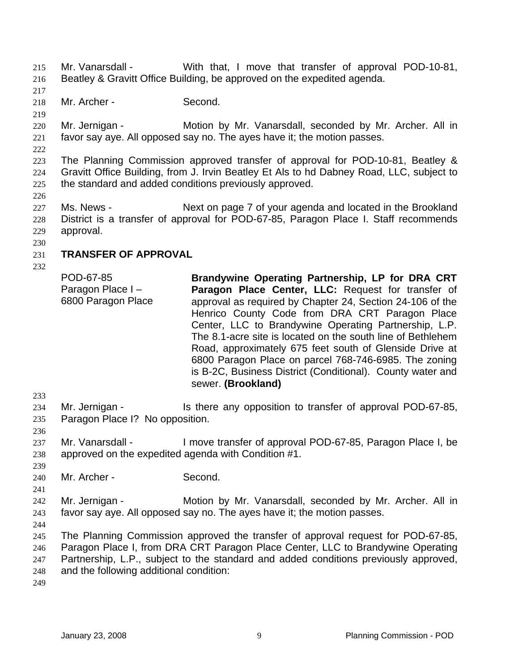Mr. Vanarsdall - With that, I move that transfer of approval POD-10-81, Beatley & Gravitt Office Building, be approved on the expedited agenda. 215 216 217 218 219 220 221 222 223 224 225 226 227 228 229 230 231 232 233 234 235 236 237 238 239 240 241 242 243 244 245 246 247 248 249 Mr. Archer - Second. Mr. Jernigan - **Motion by Mr. Vanarsdall, seconded by Mr. Archer. All in** favor say aye. All opposed say no. The ayes have it; the motion passes. The Planning Commission approved transfer of approval for POD-10-81, Beatley & Gravitt Office Building, from J. Irvin Beatley Et Als to hd Dabney Road, LLC, subject to the standard and added conditions previously approved. Ms. News - Next on page 7 of your agenda and located in the Brookland District is a transfer of approval for POD-67-85, Paragon Place I. Staff recommends approval. **TRANSFER OF APPROVAL**  POD-67-85 Paragon Place I – 6800 Paragon Place **Brandywine Operating Partnership, LP for DRA CRT Paragon Place Center, LLC:** Request for transfer of approval as required by Chapter 24, Section 24-106 of the Henrico County Code from DRA CRT Paragon Place Center, LLC to Brandywine Operating Partnership, L.P. The 8.1-acre site is located on the south line of Bethlehem Road, approximately 675 feet south of Glenside Drive at 6800 Paragon Place on parcel 768-746-6985. The zoning is B-2C, Business District (Conditional). County water and sewer. **(Brookland)**  Mr. Jernigan - The Is there any opposition to transfer of approval POD-67-85, Paragon Place I? No opposition. Mr. Vanarsdall - I move transfer of approval POD-67-85, Paragon Place I, be approved on the expedited agenda with Condition #1. Mr. Archer - Second. Mr. Jernigan - **Motion by Mr. Vanarsdall, seconded by Mr. Archer. All in** favor say aye. All opposed say no. The ayes have it; the motion passes. The Planning Commission approved the transfer of approval request for POD-67-85, Paragon Place I, from DRA CRT Paragon Place Center, LLC to Brandywine Operating Partnership, L.P., subject to the standard and added conditions previously approved, and the following additional condition: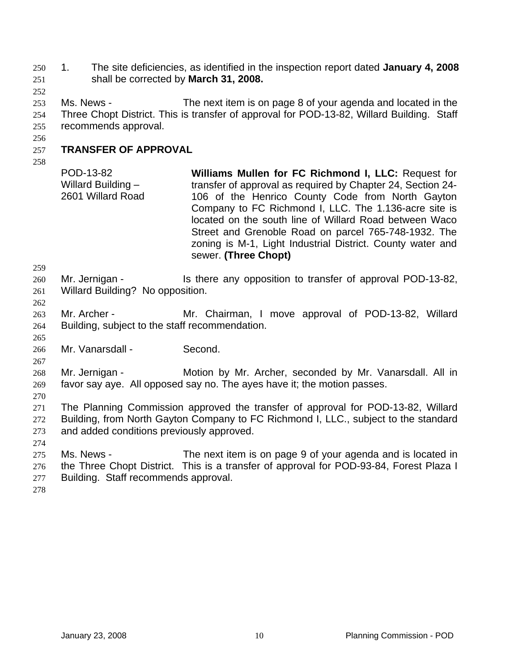1. The site deficiencies, as identified in the inspection report dated **January 4, 2008** shall be corrected by **March 31, 2008.** 250 251

252

253 254 255 Ms. News - The next item is on page 8 of your agenda and located in the Three Chopt District. This is transfer of approval for POD-13-82, Willard Building. Staff recommends approval.

#### 257 **TRANSFER OF APPROVAL**

258

256

POD-13-82 Willard Building – 2601 Willard Road **Williams Mullen for FC Richmond I, LLC:** Request for transfer of approval as required by Chapter 24, Section 24- 106 of the Henrico County Code from North Gayton Company to FC Richmond I, LLC. The 1.136-acre site is located on the south line of Willard Road between Waco Street and Grenoble Road on parcel 765-748-1932. The zoning is M-1, Light Industrial District. County water and sewer. **(Three Chopt)** 

259

262

265

267

270

260 261 Mr. Jernigan - Is there any opposition to transfer of approval POD-13-82, Willard Building? No opposition.

263 264 Mr. Archer - The Mr. Chairman, I move approval of POD-13-82, Willard Building, subject to the staff recommendation.

266 Mr. Vanarsdall - Second.

268 269 Mr. Jernigan - **Motion by Mr. Archer, seconded by Mr. Vanarsdall. All in** favor say aye. All opposed say no. The ayes have it; the motion passes.

271 272 273 The Planning Commission approved the transfer of approval for POD-13-82, Willard Building, from North Gayton Company to FC Richmond I, LLC., subject to the standard and added conditions previously approved.

274

275 276 277 Ms. News - The next item is on page 9 of your agenda and is located in the Three Chopt District. This is a transfer of approval for POD-93-84, Forest Plaza I Building. Staff recommends approval.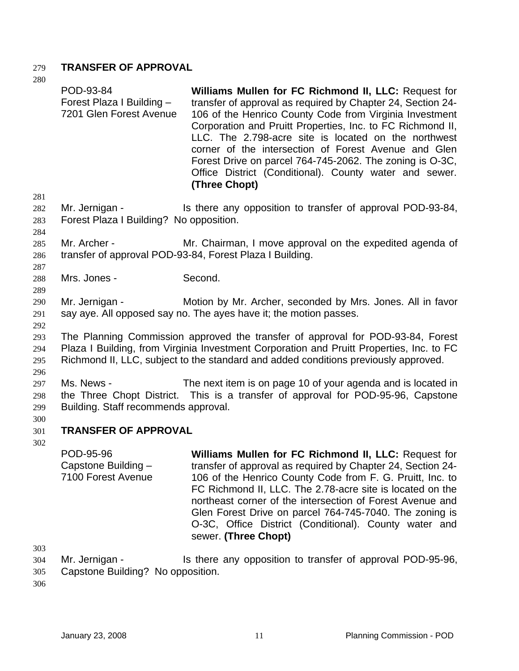# 279 **TRANSFER OF APPROVAL**

280

|                               | POD-93-84<br>Forest Plaza I Building -<br>7201 Glen Forest Avenue                                                                                                                                                                                                  | Williams Mullen for FC Richmond II, LLC: Request for<br>transfer of approval as required by Chapter 24, Section 24-<br>106 of the Henrico County Code from Virginia Investment<br>Corporation and Pruitt Properties, Inc. to FC Richmond II,<br>LLC. The 2.798-acre site is located on the northwest<br>corner of the intersection of Forest Avenue and Glen<br>Forest Drive on parcel 764-745-2062. The zoning is O-3C,<br>Office District (Conditional). County water and sewer.<br>(Three Chopt) |  |  |
|-------------------------------|--------------------------------------------------------------------------------------------------------------------------------------------------------------------------------------------------------------------------------------------------------------------|-----------------------------------------------------------------------------------------------------------------------------------------------------------------------------------------------------------------------------------------------------------------------------------------------------------------------------------------------------------------------------------------------------------------------------------------------------------------------------------------------------|--|--|
| 281<br>282<br>283<br>284      | Mr. Jernigan -<br>Forest Plaza I Building? No opposition.                                                                                                                                                                                                          | Is there any opposition to transfer of approval POD-93-84,                                                                                                                                                                                                                                                                                                                                                                                                                                          |  |  |
| 285<br>286<br>287             | Mr. Archer -                                                                                                                                                                                                                                                       | Mr. Chairman, I move approval on the expedited agenda of<br>transfer of approval POD-93-84, Forest Plaza I Building.                                                                                                                                                                                                                                                                                                                                                                                |  |  |
| 288<br>289                    | Mrs. Jones -                                                                                                                                                                                                                                                       | Second.                                                                                                                                                                                                                                                                                                                                                                                                                                                                                             |  |  |
| 290<br>291<br>292             | Mr. Jernigan -                                                                                                                                                                                                                                                     | Motion by Mr. Archer, seconded by Mrs. Jones. All in favor<br>say aye. All opposed say no. The ayes have it; the motion passes.                                                                                                                                                                                                                                                                                                                                                                     |  |  |
| 293<br>294<br>295<br>296      | The Planning Commission approved the transfer of approval for POD-93-84, Forest<br>Plaza I Building, from Virginia Investment Corporation and Pruitt Properties, Inc. to FC<br>Richmond II, LLC, subject to the standard and added conditions previously approved. |                                                                                                                                                                                                                                                                                                                                                                                                                                                                                                     |  |  |
| 297<br>298<br>299             | Ms. News -<br>Building. Staff recommends approval.                                                                                                                                                                                                                 | The next item is on page 10 of your agenda and is located in<br>the Three Chopt District. This is a transfer of approval for POD-95-96, Capstone                                                                                                                                                                                                                                                                                                                                                    |  |  |
| 300<br>301                    | <b>TRANSFER OF APPROVAL</b>                                                                                                                                                                                                                                        |                                                                                                                                                                                                                                                                                                                                                                                                                                                                                                     |  |  |
| 302                           | POD-95-96<br>Capstone Building -<br>7100 Forest Avenue                                                                                                                                                                                                             | Williams Mullen for FC Richmond II, LLC: Request for<br>transfer of approval as required by Chapter 24, Section 24-<br>106 of the Henrico County Code from F. G. Pruitt, Inc. to<br>FC Richmond II, LLC. The 2.78-acre site is located on the<br>northeast corner of the intersection of Forest Avenue and<br>Glen Forest Drive on parcel 764-745-7040. The zoning is<br>O-3C, Office District (Conditional). County water and<br>sewer. (Three Chopt)                                              |  |  |
| 303<br>304<br>20 <sup>2</sup> | Mr. Jernigan -<br>no Duilding? No opp                                                                                                                                                                                                                              | Is there any opposition to transfer of approval POD-95-96,                                                                                                                                                                                                                                                                                                                                                                                                                                          |  |  |

305 Capstone Building? No opposition.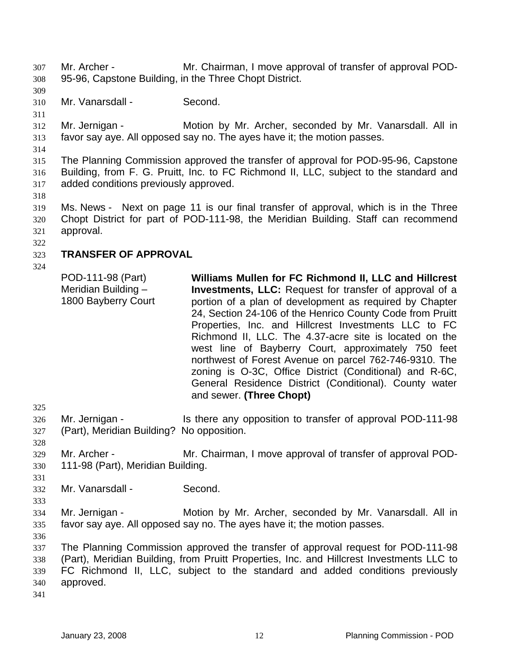Mr. Archer - Mr. Chairman, I move approval of transfer of approval POD-95-96, Capstone Building, in the Three Chopt District. 307 308

309

310 Mr. Vanarsdall - Second.

311

312 313 Mr. Jernigan - **Motion by Mr. Archer, seconded by Mr. Vanarsdall. All in** favor say aye. All opposed say no. The ayes have it; the motion passes.

314

315 316 317 The Planning Commission approved the transfer of approval for POD-95-96, Capstone Building, from F. G. Pruitt, Inc. to FC Richmond II, LLC, subject to the standard and added conditions previously approved.

318

319 320 321 Ms. News - Next on page 11 is our final transfer of approval, which is in the Three Chopt District for part of POD-111-98, the Meridian Building. Staff can recommend approval.

322

#### 323 **TRANSFER OF APPROVAL**

324

POD-111-98 (Part) Meridian Building – 1800 Bayberry Court **Williams Mullen for FC Richmond II, LLC and Hillcrest Investments, LLC:** Request for transfer of approval of a portion of a plan of development as required by Chapter 24, Section 24-106 of the Henrico County Code from Pruitt Properties, Inc. and Hillcrest Investments LLC to FC Richmond II, LLC. The 4.37-acre site is located on the west line of Bayberry Court, approximately 750 feet northwest of Forest Avenue on parcel 762-746-9310. The zoning is O-3C, Office District (Conditional) and R-6C, General Residence District (Conditional). County water and sewer. **(Three Chopt)** 

325

326 327 Mr. Jernigan - Is there any opposition to transfer of approval POD-111-98 (Part), Meridian Building? No opposition.

- 329 330 Mr. Archer - Mr. Chairman, I move approval of transfer of approval POD-111-98 (Part), Meridian Building.
- 331 332

333

328

Mr. Vanarsdall - Second.

334 335 Mr. Jernigan - **Motion by Mr. Archer, seconded by Mr. Vanarsdall. All in** favor say aye. All opposed say no. The ayes have it; the motion passes.

336

337 338 339 340 The Planning Commission approved the transfer of approval request for POD-111-98 (Part), Meridian Building, from Pruitt Properties, Inc. and Hillcrest Investments LLC to FC Richmond II, LLC, subject to the standard and added conditions previously approved.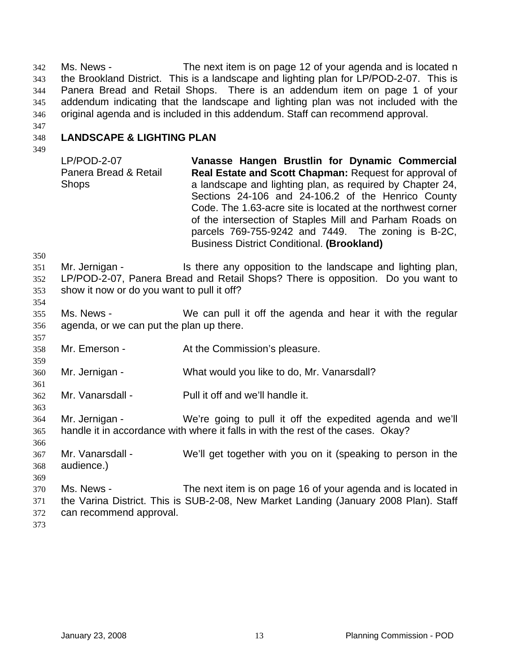Ms. News - The next item is on page 12 of your agenda and is located n the Brookland District. This is a landscape and lighting plan for LP/POD-2-07. This is Panera Bread and Retail Shops. There is an addendum item on page 1 of your addendum indicating that the landscape and lighting plan was not included with the original agenda and is included in this addendum. Staff can recommend approval. 342 343 344 345 346

347

#### 348 **LANDSCAPE & LIGHTING PLAN**

349

LP/POD-2-07 Panera Bread & Retail **Shops Vanasse Hangen Brustlin for Dynamic Commercial Real Estate and Scott Chapman:** Request for approval of a landscape and lighting plan, as required by Chapter 24, Sections 24-106 and 24-106.2 of the Henrico County Code. The 1.63-acre site is located at the northwest corner of the intersection of Staples Mill and Parham Roads on parcels 769-755-9242 and 7449. The zoning is B-2C, Business District Conditional. **(Brookland)** 

350

354

357

359

361

363

351 352 353 Mr. Jernigan - The Is there any opposition to the landscape and lighting plan, LP/POD-2-07, Panera Bread and Retail Shops? There is opposition. Do you want to show it now or do you want to pull it off?

- 355 356 Ms. News - We can pull it off the agenda and hear it with the regular agenda, or we can put the plan up there.
- 358 Mr. Emerson - The At the Commission's pleasure.
- 360 Mr. Jernigan - What would you like to do, Mr. Vanarsdall?
- 362 Mr. Vanarsdall - Pull it off and we'll handle it.
- 364 365 Mr. Jernigan - We're going to pull it off the expedited agenda and we'll handle it in accordance with where it falls in with the rest of the cases. Okay?
- 366 367 368 Mr. Vanarsdall - We'll get together with you on it (speaking to person in the audience.)
- 369
- 370 371 372 Ms. News - The next item is on page 16 of your agenda and is located in the Varina District. This is SUB-2-08, New Market Landing (January 2008 Plan). Staff can recommend approval.
- 373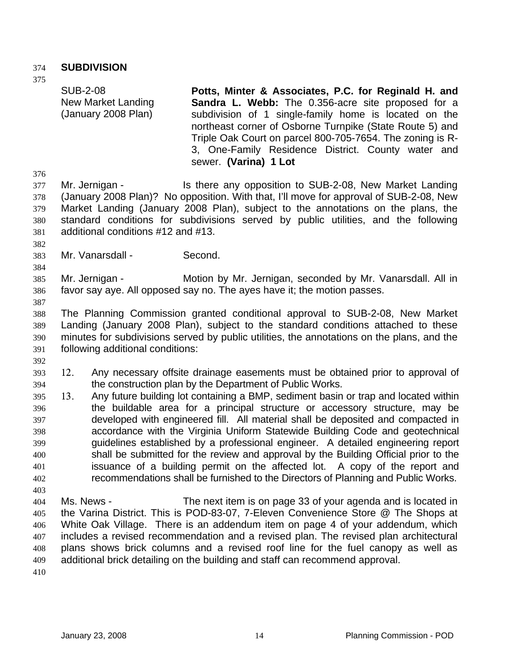### 374 **SUBDIVISION**

375

SUB-2-08 New Market Landing (January 2008 Plan)

**Potts, Minter & Associates, P.C. for Reginald H. and Sandra L. Webb:** The 0.356-acre site proposed for a subdivision of 1 single-family home is located on the northeast corner of Osborne Turnpike (State Route 5) and Triple Oak Court on parcel 800-705-7654. The zoning is R-3, One-Family Residence District. County water and sewer. **(Varina) 1 Lot** 

376

377 378 379 380 381 Mr. Jernigan - Is there any opposition to SUB-2-08, New Market Landing (January 2008 Plan)? No opposition. With that, I'll move for approval of SUB-2-08, New Market Landing (January 2008 Plan), subject to the annotations on the plans, the standard conditions for subdivisions served by public utilities, and the following additional conditions #12 and #13.

382 383

384

Mr. Vanarsdall - Second.

385 386 Mr. Jernigan - Motion by Mr. Jernigan, seconded by Mr. Vanarsdall. All in favor say aye. All opposed say no. The ayes have it; the motion passes.

387

388 389 390 391 The Planning Commission granted conditional approval to SUB-2-08, New Market Landing (January 2008 Plan), subject to the standard conditions attached to these minutes for subdivisions served by public utilities, the annotations on the plans, and the following additional conditions:

392

394 393 12. Any necessary offsite drainage easements must be obtained prior to approval of the construction plan by the Department of Public Works.

396 397 398 399 400 401 402 395 13. Any future building lot containing a BMP, sediment basin or trap and located within the buildable area for a principal structure or accessory structure, may be developed with engineered fill. All material shall be deposited and compacted in accordance with the Virginia Uniform Statewide Building Code and geotechnical guidelines established by a professional engineer. A detailed engineering report shall be submitted for the review and approval by the Building Official prior to the issuance of a building permit on the affected lot. A copy of the report and recommendations shall be furnished to the Directors of Planning and Public Works.

404 405 406 407 408 409 Ms. News - The next item is on page 33 of your agenda and is located in the Varina District. This is POD-83-07, 7-Eleven Convenience Store @ The Shops at White Oak Village. There is an addendum item on page 4 of your addendum, which includes a revised recommendation and a revised plan. The revised plan architectural plans shows brick columns and a revised roof line for the fuel canopy as well as additional brick detailing on the building and staff can recommend approval.

410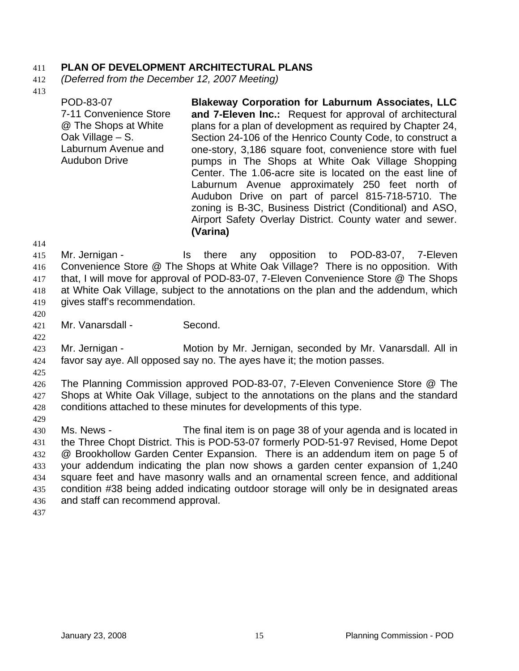### 411 **PLAN OF DEVELOPMENT ARCHITECTURAL PLANS**

- 412 *(Deferred from the December 12, 2007 Meeting)*
- 413

POD-83-07 7-11 Convenience Store @ The Shops at White Oak Village – S. Laburnum Avenue and Audubon Drive **Blakeway Corporation for Laburnum Associates, LLC and 7-Eleven Inc.:** Request for approval of architectural plans for a plan of development as required by Chapter 24, Section 24-106 of the Henrico County Code, to construct a one-story, 3,186 square foot, convenience store with fuel pumps in The Shops at White Oak Village Shopping Center. The 1.06-acre site is located on the east line of Laburnum Avenue approximately 250 feet north of Audubon Drive on part of parcel 815-718-5710. The zoning is B-3C, Business District (Conditional) and ASO, Airport Safety Overlay District. County water and sewer. **(Varina)**

414

415 416 417 418 419 Mr. Jernigan - Is there any opposition to POD-83-07, 7-Eleven Convenience Store @ The Shops at White Oak Village? There is no opposition. With that, I will move for approval of POD-83-07, 7-Eleven Convenience Store @ The Shops at White Oak Village, subject to the annotations on the plan and the addendum, which gives staff's recommendation.

420

421 Mr. Vanarsdall - Second.

422

423 424 Mr. Jernigan - **Motion by Mr. Jernigan, seconded by Mr. Vanarsdall.** All in favor say aye. All opposed say no. The ayes have it; the motion passes.

425

429

426 427 428 The Planning Commission approved POD-83-07, 7-Eleven Convenience Store @ The Shops at White Oak Village, subject to the annotations on the plans and the standard conditions attached to these minutes for developments of this type.

430 431 432 433 434 435 436 437 Ms. News - The final item is on page 38 of your agenda and is located in the Three Chopt District. This is POD-53-07 formerly POD-51-97 Revised, Home Depot @ Brookhollow Garden Center Expansion. There is an addendum item on page 5 of your addendum indicating the plan now shows a garden center expansion of 1,240 square feet and have masonry walls and an ornamental screen fence, and additional condition #38 being added indicating outdoor storage will only be in designated areas and staff can recommend approval.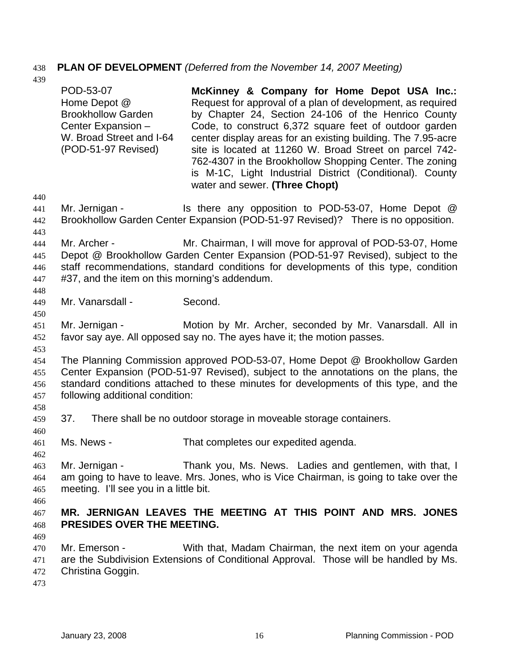# 438 **PLAN OF DEVELOPMENT** *(Deferred from the November 14, 2007 Meeting)*

 $4<sup>3</sup>$ 

| 439                             |                                                                                                                                                                                                                                                                                              |                                                                                                                                                                                                                                                                                                                                                                                                                                                                                                                |  |  |
|---------------------------------|----------------------------------------------------------------------------------------------------------------------------------------------------------------------------------------------------------------------------------------------------------------------------------------------|----------------------------------------------------------------------------------------------------------------------------------------------------------------------------------------------------------------------------------------------------------------------------------------------------------------------------------------------------------------------------------------------------------------------------------------------------------------------------------------------------------------|--|--|
|                                 | POD-53-07<br>Home Depot @<br><b>Brookhollow Garden</b><br>Center Expansion -<br>W. Broad Street and I-64<br>(POD-51-97 Revised)                                                                                                                                                              | McKinney & Company for Home Depot USA Inc.:<br>Request for approval of a plan of development, as required<br>by Chapter 24, Section 24-106 of the Henrico County<br>Code, to construct 6,372 square feet of outdoor garden<br>center display areas for an existing building. The 7.95-acre<br>site is located at 11260 W. Broad Street on parcel 742-<br>762-4307 in the Brookhollow Shopping Center. The zoning<br>is M-1C, Light Industrial District (Conditional). County<br>water and sewer. (Three Chopt) |  |  |
| 440<br>441<br>442<br>443        | Mr. Jernigan -                                                                                                                                                                                                                                                                               | Is there any opposition to POD-53-07, Home Depot @<br>Brookhollow Garden Center Expansion (POD-51-97 Revised)? There is no opposition.                                                                                                                                                                                                                                                                                                                                                                         |  |  |
| 444<br>445<br>446<br>447<br>448 | Mr. Archer -<br>#37, and the item on this morning's addendum.                                                                                                                                                                                                                                | Mr. Chairman, I will move for approval of POD-53-07, Home<br>Depot @ Brookhollow Garden Center Expansion (POD-51-97 Revised), subject to the<br>staff recommendations, standard conditions for developments of this type, condition                                                                                                                                                                                                                                                                            |  |  |
| 449<br>450                      | Mr. Vanarsdall -                                                                                                                                                                                                                                                                             | Second.                                                                                                                                                                                                                                                                                                                                                                                                                                                                                                        |  |  |
| 451<br>452                      | Mr. Jernigan -                                                                                                                                                                                                                                                                               | Motion by Mr. Archer, seconded by Mr. Vanarsdall. All in<br>favor say aye. All opposed say no. The ayes have it; the motion passes.                                                                                                                                                                                                                                                                                                                                                                            |  |  |
| 453<br>454<br>455<br>456<br>457 | The Planning Commission approved POD-53-07, Home Depot @ Brookhollow Garden<br>Center Expansion (POD-51-97 Revised), subject to the annotations on the plans, the<br>standard conditions attached to these minutes for developments of this type, and the<br>following additional condition: |                                                                                                                                                                                                                                                                                                                                                                                                                                                                                                                |  |  |
| 458<br>459<br>460               | 37.                                                                                                                                                                                                                                                                                          | There shall be no outdoor storage in moveable storage containers.                                                                                                                                                                                                                                                                                                                                                                                                                                              |  |  |
| 461<br>462                      | Ms. News -                                                                                                                                                                                                                                                                                   | That completes our expedited agenda.                                                                                                                                                                                                                                                                                                                                                                                                                                                                           |  |  |
| 463<br>464<br>465<br>466        | Mr. Jernigan -<br>meeting. I'll see you in a little bit.                                                                                                                                                                                                                                     | Thank you, Ms. News. Ladies and gentlemen, with that, I<br>am going to have to leave. Mrs. Jones, who is Vice Chairman, is going to take over the                                                                                                                                                                                                                                                                                                                                                              |  |  |
| 467<br>468                      | PRESIDES OVER THE MEETING.                                                                                                                                                                                                                                                                   | MR. JERNIGAN LEAVES THE MEETING AT THIS POINT AND MRS. JONES                                                                                                                                                                                                                                                                                                                                                                                                                                                   |  |  |
| 469<br>470<br>471<br>472<br>473 | Mr. Emerson -<br>Christina Goggin.                                                                                                                                                                                                                                                           | With that, Madam Chairman, the next item on your agenda<br>are the Subdivision Extensions of Conditional Approval. Those will be handled by Ms.                                                                                                                                                                                                                                                                                                                                                                |  |  |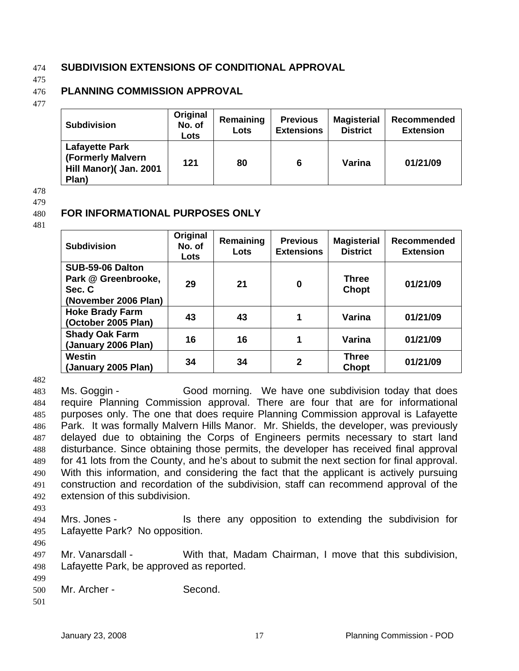### 474 **SUBDIVISION EXTENSIONS OF CONDITIONAL APPROVAL**

475

### 476 **PLANNING COMMISSION APPROVAL**

**FOR INFORMATIONAL PURPOSES ONLY** 

477

| <b>Subdivision</b>                                                            | Original<br>No. of<br>Lots | Remaining<br>Lots | <b>Previous</b><br><b>Extensions</b> | <b>Magisterial</b><br><b>District</b> | Recommended<br><b>Extension</b> |
|-------------------------------------------------------------------------------|----------------------------|-------------------|--------------------------------------|---------------------------------------|---------------------------------|
| <b>Lafayette Park</b><br>(Formerly Malvern<br>Hill Manor)( Jan. 2001<br>Plan) | 121                        | 80                | 6                                    | Varina                                | 01/21/09                        |

478

479

480

### 481

| <b>Subdivision</b>                                                        | Original<br>No. of<br>Lots | Remaining<br>Lots | <b>Previous</b><br><b>Extensions</b> | <b>Magisterial</b><br><b>District</b> | <b>Recommended</b><br><b>Extension</b> |
|---------------------------------------------------------------------------|----------------------------|-------------------|--------------------------------------|---------------------------------------|----------------------------------------|
| SUB-59-06 Dalton<br>Park @ Greenbrooke,<br>Sec. C<br>(November 2006 Plan) | 29                         | 21                | $\bf{0}$                             | <b>Three</b><br>Chopt                 | 01/21/09                               |
| <b>Hoke Brady Farm</b><br>(October 2005 Plan)                             | 43                         | 43                | 1                                    | Varina                                | 01/21/09                               |
| <b>Shady Oak Farm</b><br>(January 2006 Plan)                              | 16                         | 16                | 1                                    | Varina                                | 01/21/09                               |
| Westin<br>(January 2005 Plan)                                             | 34                         | 34                | $\overline{2}$                       | <b>Three</b><br><b>Chopt</b>          | 01/21/09                               |

482

483 484 485 486 487 488 489 490 491 492 Ms. Goggin - Good morning. We have one subdivision today that does require Planning Commission approval. There are four that are for informational purposes only. The one that does require Planning Commission approval is Lafayette Park. It was formally Malvern Hills Manor. Mr. Shields, the developer, was previously delayed due to obtaining the Corps of Engineers permits necessary to start land disturbance. Since obtaining those permits, the developer has received final approval for 41 lots from the County, and he's about to submit the next section for final approval. With this information, and considering the fact that the applicant is actively pursuing construction and recordation of the subdivision, staff can recommend approval of the extension of this subdivision.

493

496

494 495 Mrs. Jones - Is there any opposition to extending the subdivision for Lafayette Park? No opposition.

497 498 Mr. Vanarsdall - With that, Madam Chairman, I move that this subdivision, Lafayette Park, be approved as reported.

499

500 Mr. Archer - Second.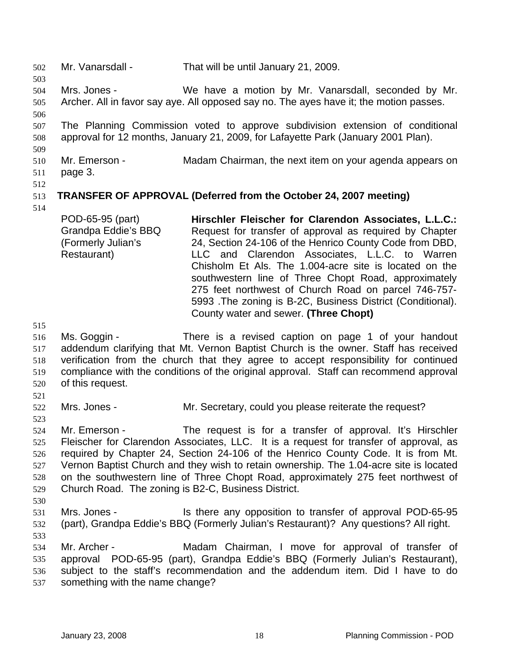502 Mr. Vanarsdall - That will be until January 21, 2009. 503 504 505 506 507 508 509 510 511 512 513 514 515 516 517 518 519 520 521 522 523 524 525 526 527 528 529 530 531 532 533 534 535 536 537 Mrs. Jones - We have a motion by Mr. Vanarsdall, seconded by Mr. Archer. All in favor say aye. All opposed say no. The ayes have it; the motion passes. The Planning Commission voted to approve subdivision extension of conditional approval for 12 months, January 21, 2009, for Lafayette Park (January 2001 Plan). Mr. Emerson - Madam Chairman, the next item on your agenda appears on page 3. **TRANSFER OF APPROVAL (Deferred from the October 24, 2007 meeting)**  POD-65-95 (part) Grandpa Eddie's BBQ (Formerly Julian's Restaurant) **Hirschler Fleischer for Clarendon Associates, L.L.C.:**  Request for transfer of approval as required by Chapter 24, Section 24-106 of the Henrico County Code from DBD, LLC and Clarendon Associates, L.L.C. to Warren Chisholm Et Als. The 1.004-acre site is located on the southwestern line of Three Chopt Road, approximately 275 feet northwest of Church Road on parcel 746-757- 5993 .The zoning is B-2C, Business District (Conditional). County water and sewer. **(Three Chopt)**  Ms. Goggin - There is a revised caption on page 1 of your handout addendum clarifying that Mt. Vernon Baptist Church is the owner. Staff has received verification from the church that they agree to accept responsibility for continued compliance with the conditions of the original approval. Staff can recommend approval of this request. Mrs. Jones - Mr. Secretary, could you please reiterate the request? Mr. Emerson - The request is for a transfer of approval. It's Hirschler Fleischer for Clarendon Associates, LLC. It is a request for transfer of approval, as required by Chapter 24, Section 24-106 of the Henrico County Code. It is from Mt. Vernon Baptist Church and they wish to retain ownership. The 1.04-acre site is located on the southwestern line of Three Chopt Road, approximately 275 feet northwest of Church Road. The zoning is B2-C, Business District. Mrs. Jones - Is there any opposition to transfer of approval POD-65-95 (part), Grandpa Eddie's BBQ (Formerly Julian's Restaurant)? Any questions? All right. Mr. Archer - The Madam Chairman, I move for approval of transfer of approval POD-65-95 (part), Grandpa Eddie's BBQ (Formerly Julian's Restaurant), subject to the staff's recommendation and the addendum item. Did I have to do something with the name change?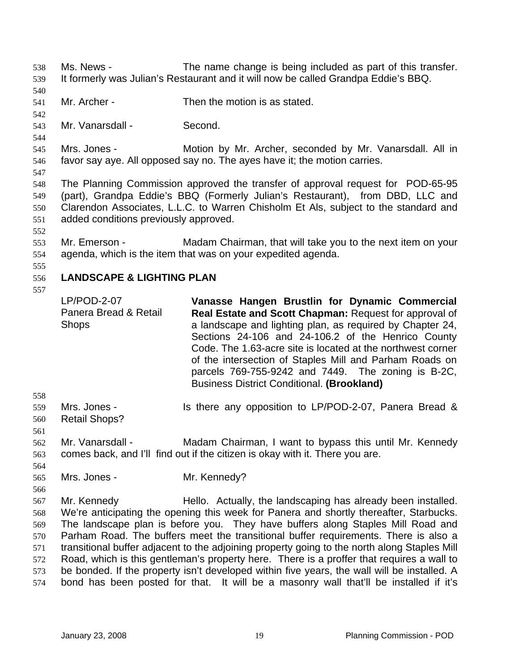- Ms. News The name change is being included as part of this transfer. It formerly was Julian's Restaurant and it will now be called Grandpa Eddie's BBQ. 538 539
- 540
- 541 Mr. Archer - Then the motion is as stated.
- 542 543

544

Mr. Vanarsdall - Second.

545 546 Mrs. Jones - **Motion by Mr. Archer, seconded by Mr. Vanarsdall. All in** favor say aye. All opposed say no. The ayes have it; the motion carries.

547

548 549 550 551 The Planning Commission approved the transfer of approval request for POD-65-95 (part), Grandpa Eddie's BBQ (Formerly Julian's Restaurant), from DBD, LLC and Clarendon Associates, L.L.C. to Warren Chisholm Et Als, subject to the standard and added conditions previously approved.

- 552
- 553 554 Mr. Emerson - Madam Chairman, that will take you to the next item on your agenda, which is the item that was on your expedited agenda.
- 555

### 556 **LANDSCAPE & LIGHTING PLAN**

557

LP/POD-2-07 Panera Bread & Retail **Shops Vanasse Hangen Brustlin for Dynamic Commercial Real Estate and Scott Chapman:** Request for approval of a landscape and lighting plan, as required by Chapter 24, Sections 24-106 and 24-106.2 of the Henrico County Code. The 1.63-acre site is located at the northwest corner of the intersection of Staples Mill and Parham Roads on parcels 769-755-9242 and 7449. The zoning is B-2C, Business District Conditional. **(Brookland)** 

- 558
- 559 Mrs. Jones - Is there any opposition to LP/POD-2-07, Panera Bread &
- 560 Retail Shops?
- 561 562 563 Mr. Vanarsdall - Madam Chairman, I want to bypass this until Mr. Kennedy comes back, and I'll find out if the citizen is okay with it. There you are.
- 564
- Mrs. Jones Mr. Kennedy?
- 565 566 567
- Mr. Kennedy Hello. Actually, the landscaping has already been installed.

568 569 570 571 572 573 We're anticipating the opening this week for Panera and shortly thereafter, Starbucks. The landscape plan is before you. They have buffers along Staples Mill Road and Parham Road. The buffers meet the transitional buffer requirements. There is also a transitional buffer adjacent to the adjoining property going to the north along Staples Mill Road, which is this gentleman's property here. There is a proffer that requires a wall to be bonded. If the property isn't developed within five years, the wall will be installed. A

574 bond has been posted for that. It will be a masonry wall that'll be installed if it's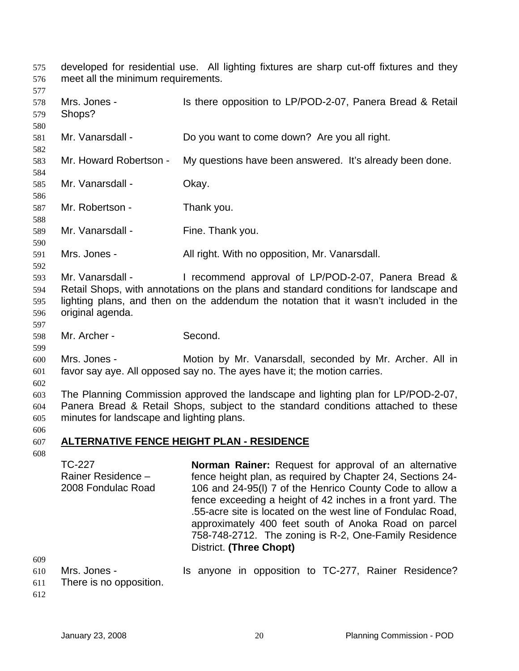| 575<br>576<br>577               | developed for residential use. All lighting fixtures are sharp cut-off fixtures and they<br>meet all the minimum requirements. |                                                                                                                                                                                                                                                                                                                                                                                                                                                                 |  |  |  |
|---------------------------------|--------------------------------------------------------------------------------------------------------------------------------|-----------------------------------------------------------------------------------------------------------------------------------------------------------------------------------------------------------------------------------------------------------------------------------------------------------------------------------------------------------------------------------------------------------------------------------------------------------------|--|--|--|
| 578<br>579<br>580               | Mrs. Jones -<br>Shops?                                                                                                         | Is there opposition to LP/POD-2-07, Panera Bread & Retail                                                                                                                                                                                                                                                                                                                                                                                                       |  |  |  |
| 581<br>582                      | Mr. Vanarsdall -                                                                                                               | Do you want to come down? Are you all right.                                                                                                                                                                                                                                                                                                                                                                                                                    |  |  |  |
| 583<br>584                      | Mr. Howard Robertson -                                                                                                         | My questions have been answered. It's already been done.                                                                                                                                                                                                                                                                                                                                                                                                        |  |  |  |
| 585<br>586                      | Mr. Vanarsdall -                                                                                                               | Okay.                                                                                                                                                                                                                                                                                                                                                                                                                                                           |  |  |  |
| 587<br>588                      | Mr. Robertson -                                                                                                                | Thank you.                                                                                                                                                                                                                                                                                                                                                                                                                                                      |  |  |  |
| 589<br>590                      | Mr. Vanarsdall -                                                                                                               | Fine. Thank you.                                                                                                                                                                                                                                                                                                                                                                                                                                                |  |  |  |
| 591<br>592                      | Mrs. Jones -                                                                                                                   | All right. With no opposition, Mr. Vanarsdall.                                                                                                                                                                                                                                                                                                                                                                                                                  |  |  |  |
| 593<br>594<br>595<br>596<br>597 | Mr. Vanarsdall -<br>original agenda.                                                                                           | I recommend approval of LP/POD-2-07, Panera Bread &<br>Retail Shops, with annotations on the plans and standard conditions for landscape and<br>lighting plans, and then on the addendum the notation that it wasn't included in the                                                                                                                                                                                                                            |  |  |  |
| 598<br>599                      | Mr. Archer -                                                                                                                   | Second.                                                                                                                                                                                                                                                                                                                                                                                                                                                         |  |  |  |
| 600<br>601<br>602               | Mrs. Jones -                                                                                                                   | Motion by Mr. Vanarsdall, seconded by Mr. Archer. All in<br>favor say aye. All opposed say no. The ayes have it; the motion carries.                                                                                                                                                                                                                                                                                                                            |  |  |  |
| 603<br>604<br>605<br>606        | minutes for landscape and lighting plans.                                                                                      | The Planning Commission approved the landscape and lighting plan for LP/POD-2-07,<br>Panera Bread & Retail Shops, subject to the standard conditions attached to these                                                                                                                                                                                                                                                                                          |  |  |  |
| 607                             |                                                                                                                                | <b>ALTERNATIVE FENCE HEIGHT PLAN - RESIDENCE</b>                                                                                                                                                                                                                                                                                                                                                                                                                |  |  |  |
| 608                             | <b>TC-227</b><br>Rainer Residence -<br>2008 Fondulac Road                                                                      | <b>Norman Rainer:</b> Request for approval of an alternative<br>fence height plan, as required by Chapter 24, Sections 24-<br>106 and 24-95(I) 7 of the Henrico County Code to allow a<br>fence exceeding a height of 42 inches in a front yard. The<br>.55-acre site is located on the west line of Fondulac Road,<br>approximately 400 feet south of Anoka Road on parcel<br>758-748-2712. The zoning is R-2, One-Family Residence<br>District. (Three Chopt) |  |  |  |
| 609<br>610<br>611               | Mrs. Jones -<br>There is no opposition.                                                                                        | Is anyone in opposition to TC-277, Rainer Residence?                                                                                                                                                                                                                                                                                                                                                                                                            |  |  |  |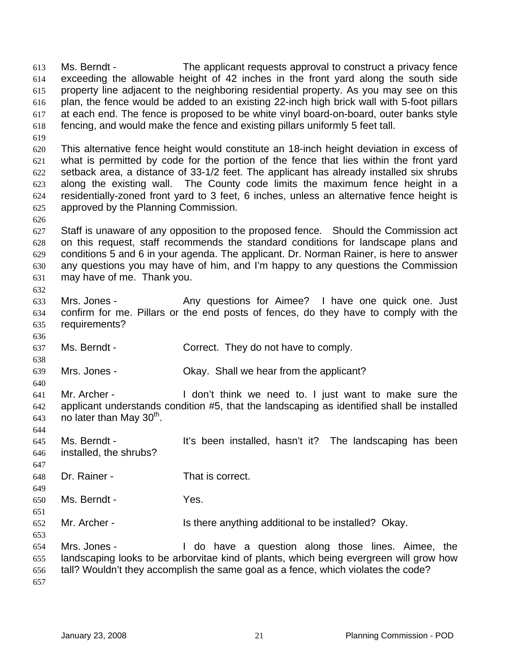Ms. Berndt - The applicant requests approval to construct a privacy fence exceeding the allowable height of 42 inches in the front yard along the south side property line adjacent to the neighboring residential property. As you may see on this plan, the fence would be added to an existing 22-inch high brick wall with 5-foot pillars at each end. The fence is proposed to be white vinyl board-on-board, outer banks style fencing, and would make the fence and existing pillars uniformly 5 feet tall. 613 614 615 616 617 618 619

620 621 622 623 624 625 This alternative fence height would constitute an 18-inch height deviation in excess of what is permitted by code for the portion of the fence that lies within the front yard setback area, a distance of 33-1/2 feet. The applicant has already installed six shrubs along the existing wall. The County code limits the maximum fence height in a residentially-zoned front yard to 3 feet, 6 inches, unless an alternative fence height is approved by the Planning Commission.

627 628 629 630 631 Staff is unaware of any opposition to the proposed fence. Should the Commission act on this request, staff recommends the standard conditions for landscape plans and conditions 5 and 6 in your agenda. The applicant. Dr. Norman Rainer, is here to answer any questions you may have of him, and I'm happy to any questions the Commission may have of me. Thank you.

- 633 634 635 Mrs. Jones - Any questions for Aimee? I have one quick one. Just confirm for me. Pillars or the end posts of fences, do they have to comply with the requirements?
- 637 Ms. Berndt - Correct. They do not have to comply.
- 639 Mrs. Jones - Ckay. Shall we hear from the applicant?
- 640 641 642 643 Mr. Archer - The Muslim Con't think we need to I just want to make sure the applicant understands condition #5, that the landscaping as identified shall be installed no later than May  $30<sup>th</sup>$ .
- 645 646 Ms. Berndt - The landscaping has been installed, hasn't it? The landscaping has been installed, the shrubs?
- 648 Dr. Rainer - That is correct.
- 650 Ms. Berndt - The Yes.

626

632

636

638

644

647

649

651

- 652 Mr. Archer - Is there anything additional to be installed? Okay.
- 654 655 656 657 Mrs. Jones - The Mrs and Helphane a question along those lines. Aimee, the landscaping looks to be arborvitae kind of plants, which being evergreen will grow how tall? Wouldn't they accomplish the same goal as a fence, which violates the code?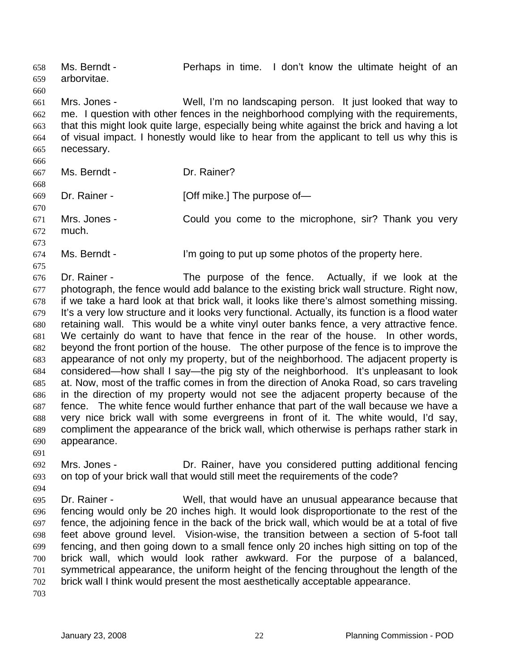Ms. Berndt - Perhaps in time. I don't know the ultimate height of an arborvitae. 658 659 660 661 662 663 664 665 666 667 668 669 670 671 672 673 674 675 676 677 678 679 680 681 682 683 684 685 686 687 688 689 690 691 692 693 694 695 696 697 698 699 700 701 702 Mrs. Jones - Well, I'm no landscaping person. It just looked that way to me. I question with other fences in the neighborhood complying with the requirements, that this might look quite large, especially being white against the brick and having a lot of visual impact. I honestly would like to hear from the applicant to tell us why this is necessary. Ms. Berndt - **Dr. Rainer?** Dr. Rainer - [Off mike.] The purpose of-Mrs. Jones - Could you come to the microphone, sir? Thank you very much. Ms. Berndt - The l'm going to put up some photos of the property here. Dr. Rainer - The purpose of the fence. Actually, if we look at the photograph, the fence would add balance to the existing brick wall structure. Right now, if we take a hard look at that brick wall, it looks like there's almost something missing. It's a very low structure and it looks very functional. Actually, its function is a flood water retaining wall. This would be a white vinyl outer banks fence, a very attractive fence. We certainly do want to have that fence in the rear of the house. In other words, beyond the front portion of the house. The other purpose of the fence is to improve the appearance of not only my property, but of the neighborhood. The adjacent property is considered—how shall I say—the pig sty of the neighborhood. It's unpleasant to look at. Now, most of the traffic comes in from the direction of Anoka Road, so cars traveling in the direction of my property would not see the adjacent property because of the fence. The white fence would further enhance that part of the wall because we have a very nice brick wall with some evergreens in front of it. The white would, I'd say, compliment the appearance of the brick wall, which otherwise is perhaps rather stark in appearance. Mrs. Jones - **Dr. Rainer, have you considered putting additional fencing** on top of your brick wall that would still meet the requirements of the code? Dr. Rainer - Well, that would have an unusual appearance because that fencing would only be 20 inches high. It would look disproportionate to the rest of the fence, the adjoining fence in the back of the brick wall, which would be at a total of five feet above ground level. Vision-wise, the transition between a section of 5-foot tall fencing, and then going down to a small fence only 20 inches high sitting on top of the brick wall, which would look rather awkward. For the purpose of a balanced, symmetrical appearance, the uniform height of the fencing throughout the length of the brick wall I think would present the most aesthetically acceptable appearance.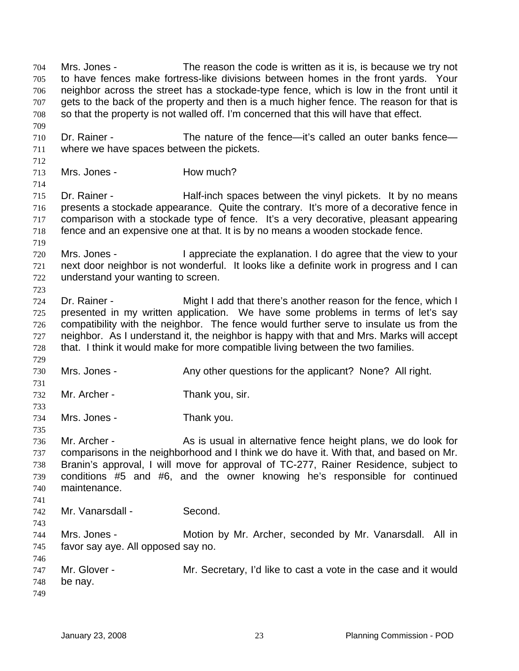Mrs. Jones - The reason the code is written as it is, is because we try not to have fences make fortress-like divisions between homes in the front yards. Your neighbor across the street has a stockade-type fence, which is low in the front until it gets to the back of the property and then is a much higher fence. The reason for that is so that the property is not walled off. I'm concerned that this will have that effect. 704 705 706 707 708 709 710 711 712 713 714 715 716 717 718 719 720 721 722 723 724 725 726 727 728 729 730 731 732 733 734 735 736 737 738 739 740 741 742 743 744 745 746 747 748 749 Dr. Rainer - The nature of the fence—it's called an outer banks fence where we have spaces between the pickets. Mrs. Jones - **How much?** Dr. Rainer - **Half-inch spaces between the vinyl pickets.** It by no means presents a stockade appearance. Quite the contrary. It's more of a decorative fence in comparison with a stockade type of fence. It's a very decorative, pleasant appearing fence and an expensive one at that. It is by no means a wooden stockade fence. Mrs. Jones - I appreciate the explanation. I do agree that the view to your next door neighbor is not wonderful. It looks like a definite work in progress and I can understand your wanting to screen. Dr. Rainer - Might I add that there's another reason for the fence, which I presented in my written application. We have some problems in terms of let's say compatibility with the neighbor. The fence would further serve to insulate us from the neighbor. As I understand it, the neighbor is happy with that and Mrs. Marks will accept that. I think it would make for more compatible living between the two families. Mrs. Jones - **Any other questions for the applicant?** None? All right. Mr. Archer - Thank you, sir. Mrs. Jones - Thank you. Mr. Archer - As is usual in alternative fence height plans, we do look for comparisons in the neighborhood and I think we do have it. With that, and based on Mr. Branin's approval, I will move for approval of TC-277, Rainer Residence, subject to conditions #5 and #6, and the owner knowing he's responsible for continued maintenance. Mr. Vanarsdall - Second. Mrs. Jones - **Motion by Mr. Archer, seconded by Mr. Vanarsdall.** All in favor say aye. All opposed say no. Mr. Glover - Mr. Secretary, I'd like to cast a vote in the case and it would be nay.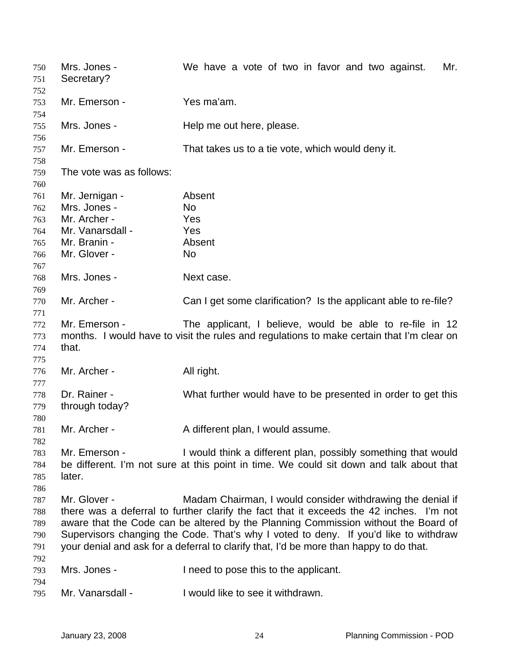| 750<br>751<br>752                      | Mrs. Jones -<br>Secretary?                     | We have a vote of two in favor and two against.<br>Mr.                                                                                                                                                                                                                                                                                                                                                                        |
|----------------------------------------|------------------------------------------------|-------------------------------------------------------------------------------------------------------------------------------------------------------------------------------------------------------------------------------------------------------------------------------------------------------------------------------------------------------------------------------------------------------------------------------|
| 753<br>754                             | Mr. Emerson -                                  | Yes ma'am.                                                                                                                                                                                                                                                                                                                                                                                                                    |
| 755<br>756                             | Mrs. Jones -                                   | Help me out here, please.                                                                                                                                                                                                                                                                                                                                                                                                     |
| 757<br>758                             | Mr. Emerson -                                  | That takes us to a tie vote, which would deny it.                                                                                                                                                                                                                                                                                                                                                                             |
| 759<br>760                             | The vote was as follows:                       |                                                                                                                                                                                                                                                                                                                                                                                                                               |
| 761<br>762<br>763                      | Mr. Jernigan -<br>Mrs. Jones -<br>Mr. Archer - | Absent<br><b>No</b><br>Yes                                                                                                                                                                                                                                                                                                                                                                                                    |
| 764<br>765                             | Mr. Vanarsdall -<br>Mr. Branin -               | Yes<br>Absent                                                                                                                                                                                                                                                                                                                                                                                                                 |
| 766<br>767                             | Mr. Glover -                                   | <b>No</b>                                                                                                                                                                                                                                                                                                                                                                                                                     |
| 768<br>769                             | Mrs. Jones -                                   | Next case.                                                                                                                                                                                                                                                                                                                                                                                                                    |
| 770<br>771                             | Mr. Archer -                                   | Can I get some clarification? Is the applicant able to re-file?                                                                                                                                                                                                                                                                                                                                                               |
| 772<br>773<br>774<br>775               | Mr. Emerson -<br>that.                         | The applicant, I believe, would be able to re-file in 12<br>months. I would have to visit the rules and regulations to make certain that I'm clear on                                                                                                                                                                                                                                                                         |
| 776<br>777                             | Mr. Archer -                                   | All right.                                                                                                                                                                                                                                                                                                                                                                                                                    |
| 778<br>779<br>780                      | Dr. Rainer -<br>through today?                 | What further would have to be presented in order to get this                                                                                                                                                                                                                                                                                                                                                                  |
| 781<br>782                             | Mr. Archer -                                   | A different plan, I would assume.                                                                                                                                                                                                                                                                                                                                                                                             |
| 783<br>784<br>785<br>786               | Mr. Emerson -<br>later.                        | I would think a different plan, possibly something that would<br>be different. I'm not sure at this point in time. We could sit down and talk about that                                                                                                                                                                                                                                                                      |
| 787<br>788<br>789<br>790<br>791<br>792 | Mr. Glover -                                   | Madam Chairman, I would consider withdrawing the denial if<br>there was a deferral to further clarify the fact that it exceeds the 42 inches. I'm not<br>aware that the Code can be altered by the Planning Commission without the Board of<br>Supervisors changing the Code. That's why I voted to deny. If you'd like to withdraw<br>your denial and ask for a deferral to clarify that, I'd be more than happy to do that. |
| 793<br>794                             | Mrs. Jones -                                   | I need to pose this to the applicant.                                                                                                                                                                                                                                                                                                                                                                                         |
| 795                                    | Mr. Vanarsdall -                               | I would like to see it withdrawn.                                                                                                                                                                                                                                                                                                                                                                                             |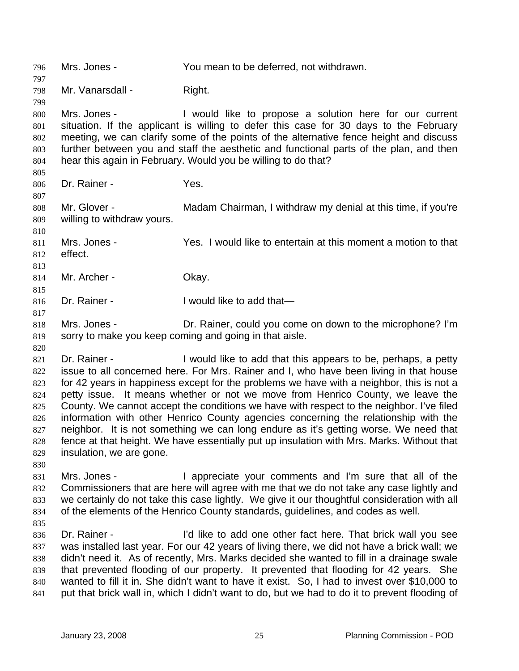796 Mrs. Jones - You mean to be deferred, not withdrawn. 797 798 799 800 801 802 803 804 805 806 807 808 809 810 811 812 813 814 815 816 817 818 819 820 821 822 823 824 825 826 827 828 829 830 831 832 833 834 835 836 837 838 839 840 841 Mr. Vanarsdall - Right. Mrs. Jones - The Would like to propose a solution here for our current situation. If the applicant is willing to defer this case for 30 days to the February meeting, we can clarify some of the points of the alternative fence height and discuss further between you and staff the aesthetic and functional parts of the plan, and then hear this again in February. Would you be willing to do that? Dr. Rainer - Yes. Mr. Glover - Madam Chairman, I withdraw my denial at this time, if you're willing to withdraw yours. Mrs. Jones - Yes. I would like to entertain at this moment a motion to that effect. Mr. Archer - Ckay. Dr. Rainer - The Unit of I would like to add that— Mrs. Jones - **Dr. Rainer, could you come on down to the microphone?** I'm sorry to make you keep coming and going in that aisle. Dr. Rainer - I would like to add that this appears to be, perhaps, a petty issue to all concerned here. For Mrs. Rainer and I, who have been living in that house for 42 years in happiness except for the problems we have with a neighbor, this is not a petty issue. It means whether or not we move from Henrico County, we leave the County. We cannot accept the conditions we have with respect to the neighbor. I've filed information with other Henrico County agencies concerning the relationship with the neighbor. It is not something we can long endure as it's getting worse. We need that fence at that height. We have essentially put up insulation with Mrs. Marks. Without that insulation, we are gone. Mrs. Jones - I appreciate your comments and I'm sure that all of the Commissioners that are here will agree with me that we do not take any case lightly and we certainly do not take this case lightly. We give it our thoughtful consideration with all of the elements of the Henrico County standards, guidelines, and codes as well. Dr. Rainer - The I'd like to add one other fact here. That brick wall you see was installed last year. For our 42 years of living there, we did not have a brick wall; we didn't need it. As of recently, Mrs. Marks decided she wanted to fill in a drainage swale that prevented flooding of our property. It prevented that flooding for 42 years. She wanted to fill it in. She didn't want to have it exist. So, I had to invest over \$10,000 to put that brick wall in, which I didn't want to do, but we had to do it to prevent flooding of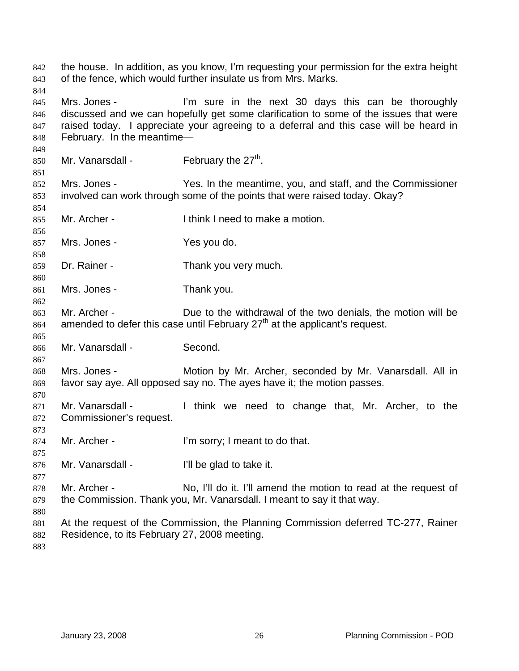the house. In addition, as you know, I'm requesting your permission for the extra height of the fence, which would further insulate us from Mrs. Marks. Mrs. Jones - I'm sure in the next 30 days this can be thoroughly discussed and we can hopefully get some clarification to some of the issues that were raised today. I appreciate your agreeing to a deferral and this case will be heard in February. In the meantime— Mr. Vanarsdall - February the  $27<sup>th</sup>$ . Mrs. Jones - Yes. In the meantime, you, and staff, and the Commissioner involved can work through some of the points that were raised today. Okay? Mr. Archer - Think I need to make a motion. Mrs. Jones - Yes you do. Dr. Rainer - Thank you very much. Mrs. Jones - Thank you. Mr. Archer - **Due to the withdrawal of the two denials**, the motion will be amended to defer this case until February  $27<sup>th</sup>$  at the applicant's request. Mr. Vanarsdall - Second. Mrs. Jones - Motion by Mr. Archer, seconded by Mr. Vanarsdall. All in favor say aye. All opposed say no. The ayes have it; the motion passes. Mr. Vanarsdall - Think we need to change that, Mr. Archer, to the Commissioner's request. Mr. Archer - I'm sorry; I meant to do that. Mr. Vanarsdall - I'll be glad to take it. Mr. Archer - No, I'll do it. I'll amend the motion to read at the request of the Commission. Thank you, Mr. Vanarsdall. I meant to say it that way. At the request of the Commission, the Planning Commission deferred TC-277, Rainer Residence, to its February 27, 2008 meeting.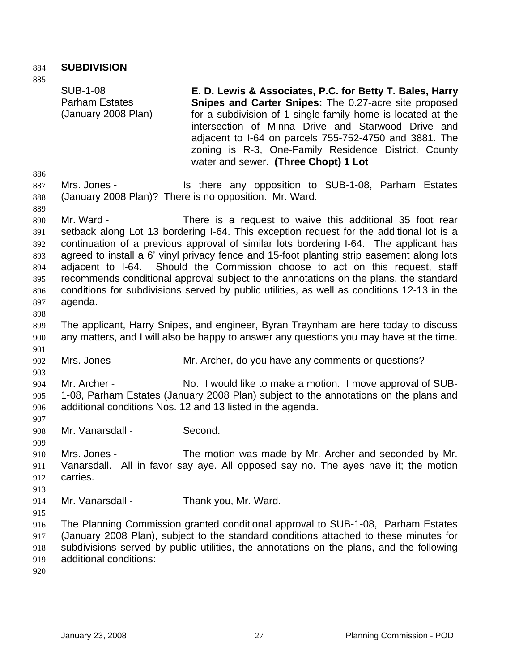884 **SUBDIVISION** 

885

SUB-1-08 Parham Estates (January 2008 Plan) **E. D. Lewis & Associates, P.C. for Betty T. Bales, Harry Snipes and Carter Snipes:** The 0.27-acre site proposed for a subdivision of 1 single-family home is located at the intersection of Minna Drive and Starwood Drive and adjacent to I-64 on parcels 755-752-4750 and 3881. The zoning is R-3, One-Family Residence District. County water and sewer. **(Three Chopt) 1 Lot** 

886

889

- 887 888 Mrs. Jones - The Is there any opposition to SUB-1-08, Parham Estates (January 2008 Plan)? There is no opposition. Mr. Ward.
- 890 891 892 893 894 895 896 897 Mr. Ward - There is a request to waive this additional 35 foot rear setback along Lot 13 bordering I-64. This exception request for the additional lot is a continuation of a previous approval of similar lots bordering I-64. The applicant has agreed to install a 6' vinyl privacy fence and 15-foot planting strip easement along lots adjacent to I-64. Should the Commission choose to act on this request, staff recommends conditional approval subject to the annotations on the plans, the standard conditions for subdivisions served by public utilities, as well as conditions 12-13 in the agenda.
- 898

901

903

907

909

- 899 900 The applicant, Harry Snipes, and engineer, Byran Traynham are here today to discuss any matters, and I will also be happy to answer any questions you may have at the time.
- 902 Mrs. Jones - Mr. Archer, do you have any comments or questions?
- 904 905 906 Mr. Archer - No. I would like to make a motion. I move approval of SUB-1-08, Parham Estates (January 2008 Plan) subject to the annotations on the plans and additional conditions Nos. 12 and 13 listed in the agenda.
- 908 Mr. Vanarsdall - Second.
- 910 911 912 Mrs. Jones - The motion was made by Mr. Archer and seconded by Mr. Vanarsdall. All in favor say aye. All opposed say no. The ayes have it; the motion carries.
- 913
- 914 Mr. Vanarsdall - Thank you, Mr. Ward.
- 916 917 918 919 The Planning Commission granted conditional approval to SUB-1-08, Parham Estates (January 2008 Plan), subject to the standard conditions attached to these minutes for subdivisions served by public utilities, the annotations on the plans, and the following additional conditions:
- 920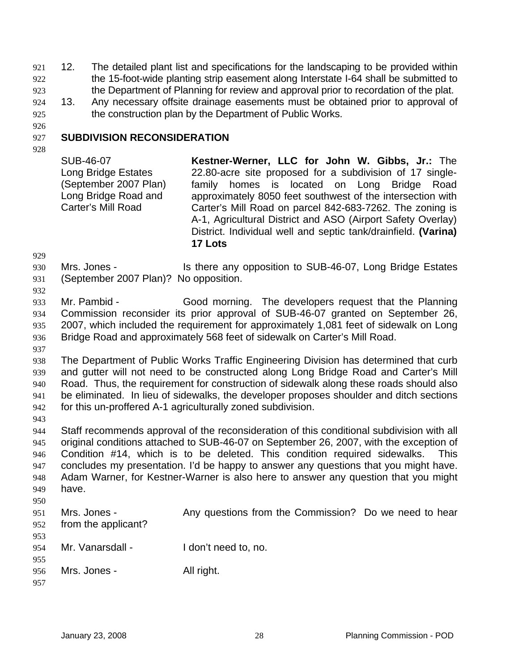921 12. The detailed plant list and specifications for the landscaping to be provided within the 15-foot-wide planting strip easement along Interstate I-64 shall be submitted to the Department of Planning for review and approval prior to recordation of the plat. 922 923

925 924 13. Any necessary offsite drainage easements must be obtained prior to approval of the construction plan by the Department of Public Works.

#### 927 **SUBDIVISION RECONSIDERATION**

928

926

SUB-46-07 Long Bridge Estates (September 2007 Plan) Long Bridge Road and Carter's Mill Road

**Kestner-Werner, LLC for John W. Gibbs, Jr.:** The 22.80-acre site proposed for a subdivision of 17 singlefamily homes is located on Long Bridge Road approximately 8050 feet southwest of the intersection with Carter's Mill Road on parcel 842-683-7262. The zoning is A-1, Agricultural District and ASO (Airport Safety Overlay) District. Individual well and septic tank/drainfield. **(Varina) 17 Lots** 

929

932

930 931 Mrs. Jones - Is there any opposition to SUB-46-07, Long Bridge Estates (September 2007 Plan)? No opposition.

933 934 935 936 Mr. Pambid - Good morning. The developers request that the Planning Commission reconsider its prior approval of SUB-46-07 granted on September 26, 2007, which included the requirement for approximately 1,081 feet of sidewalk on Long Bridge Road and approximately 568 feet of sidewalk on Carter's Mill Road.

937

938 939 940 941 942 The Department of Public Works Traffic Engineering Division has determined that curb and gutter will not need to be constructed along Long Bridge Road and Carter's Mill Road. Thus, the requirement for construction of sidewalk along these roads should also be eliminated. In lieu of sidewalks, the developer proposes shoulder and ditch sections for this un-proffered A-1 agriculturally zoned subdivision.

943

944 945 946 947 948 949 950 Staff recommends approval of the reconsideration of this conditional subdivision with all original conditions attached to SUB-46-07 on September 26, 2007, with the exception of Condition #14, which is to be deleted. This condition required sidewalks. This concludes my presentation. I'd be happy to answer any questions that you might have. Adam Warner, for Kestner-Warner is also here to answer any question that you might have.

| 951<br>952 | Mrs. Jones -<br>from the applicant? | Any questions from the Commission? Do we need to hear |  |
|------------|-------------------------------------|-------------------------------------------------------|--|
| 953        |                                     |                                                       |  |
| 954        | Mr. Vanarsdall -                    | I don't need to, no.                                  |  |
| 955        |                                     |                                                       |  |
| 956        | Mrs. Jones -                        | All right.                                            |  |
| 957        |                                     |                                                       |  |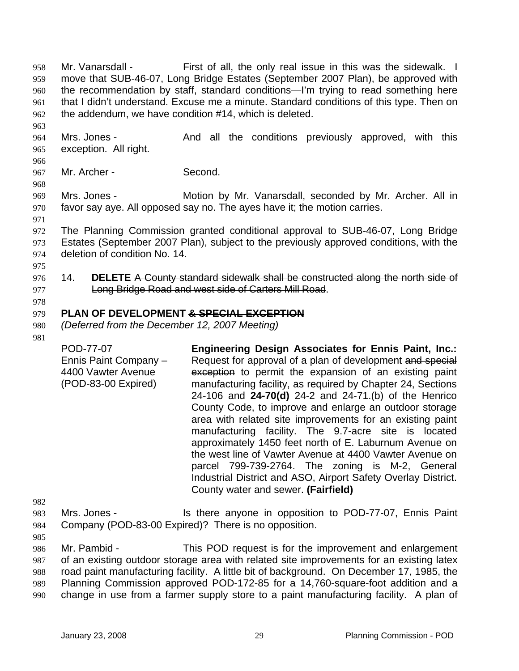Mr. Vanarsdall - First of all, the only real issue in this was the sidewalk. I move that SUB-46-07, Long Bridge Estates (September 2007 Plan), be approved with the recommendation by staff, standard conditions—I'm trying to read something here that I didn't understand. Excuse me a minute. Standard conditions of this type. Then on the addendum, we have condition #14, which is deleted. 958 959 960 961 962

964 965 Mrs. Jones - The And all the conditions previously approved, with this exception. All right.

967 Mr. Archer - Second.

969 970 Mrs. Jones - **Motion by Mr. Vanarsdall, seconded by Mr. Archer. All in** favor say aye. All opposed say no. The ayes have it; the motion carries.

972 973 974 The Planning Commission granted conditional approval to SUB-46-07, Long Bridge Estates (September 2007 Plan), subject to the previously approved conditions, with the deletion of condition No. 14.

976 14. **DELETE** A County standard sidewalk shall be constructed along the north side of 977 **Long Bridge Road and west side of Carters Mill Road.** 

# 978

# 979 **PLAN OF DEVELOPMENT & SPECIAL EXCEPTION**

980 *(Deferred from the December 12, 2007 Meeting)* 

981

963

966

968

971

975

POD-77-07 Ennis Paint Company – 4400 Vawter Avenue (POD-83-00 Expired) **Engineering Design Associates for Ennis Paint, Inc.:**  Request for approval of a plan of development and special exception to permit the expansion of an existing paint manufacturing facility, as required by Chapter 24, Sections 24-106 and **24-70(d)** 24-2 and 24-71.(b) of the Henrico County Code, to improve and enlarge an outdoor storage area with related site improvements for an existing paint manufacturing facility. The 9.7-acre site is located approximately 1450 feet north of E. Laburnum Avenue on the west line of Vawter Avenue at 4400 Vawter Avenue on parcel 799-739-2764. The zoning is M-2, General Industrial District and ASO, Airport Safety Overlay District. County water and sewer. **(Fairfield)** 

982 983 984 Mrs. Jones - Is there anyone in opposition to POD-77-07, Ennis Paint Company (POD-83-00 Expired)? There is no opposition.

985

986 987 988 989 990 Mr. Pambid - This POD request is for the improvement and enlargement of an existing outdoor storage area with related site improvements for an existing latex road paint manufacturing facility. A little bit of background. On December 17, 1985, the Planning Commission approved POD-172-85 for a 14,760-square-foot addition and a change in use from a farmer supply store to a paint manufacturing facility. A plan of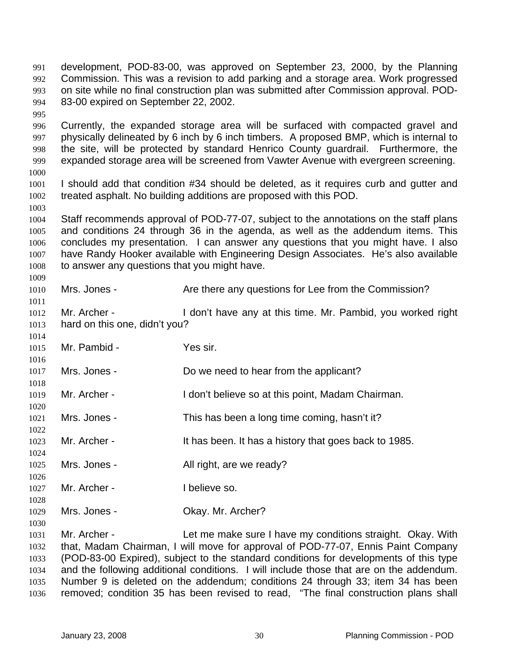995 996 997 998 999 1000 1001 1002 1003 1004 1005 1006 1007 1008 1009 1010 1011 1012 1013 1014 1015 1016 1017 1018 1019 1020 1021 1022 1023 1024 1025 1026 1027 1028 1029 1030 1031 1032 1033 1034 1035 1036 Currently, the expanded storage area will be surfaced with compacted gravel and physically delineated by 6 inch by 6 inch timbers. A proposed BMP, which is internal to the site, will be protected by standard Henrico County guardrail. Furthermore, the expanded storage area will be screened from Vawter Avenue with evergreen screening. I should add that condition #34 should be deleted, as it requires curb and gutter and treated asphalt. No building additions are proposed with this POD. Staff recommends approval of POD-77-07, subject to the annotations on the staff plans and conditions 24 through 36 in the agenda, as well as the addendum items. This concludes my presentation. I can answer any questions that you might have. I also have Randy Hooker available with Engineering Design Associates. He's also available to answer any questions that you might have. Mrs. Jones - The Are there any questions for Lee from the Commission? Mr. Archer - I don't have any at this time. Mr. Pambid, you worked right hard on this one, didn't you? Mr. Pambid - Yes sir. Mrs. Jones - Do we need to hear from the applicant? Mr. Archer - I don't believe so at this point, Madam Chairman. Mrs. Jones - This has been a long time coming, hasn't it? Mr. Archer - It has been. It has a history that goes back to 1985. Mrs. Jones - The All right, are we ready? Mr. Archer - I believe so. Mrs. Jones - Ckay. Mr. Archer? Mr. Archer - Let me make sure I have my conditions straight. Okay. With that, Madam Chairman, I will move for approval of POD-77-07, Ennis Paint Company (POD-83-00 Expired), subject to the standard conditions for developments of this type and the following additional conditions. I will include those that are on the addendum. Number 9 is deleted on the addendum; conditions 24 through 33; item 34 has been removed; condition 35 has been revised to read, "The final construction plans shall

development, POD-83-00, was approved on September 23, 2000, by the Planning Commission. This was a revision to add parking and a storage area. Work progressed on site while no final construction plan was submitted after Commission approval. POD-

83-00 expired on September 22, 2002.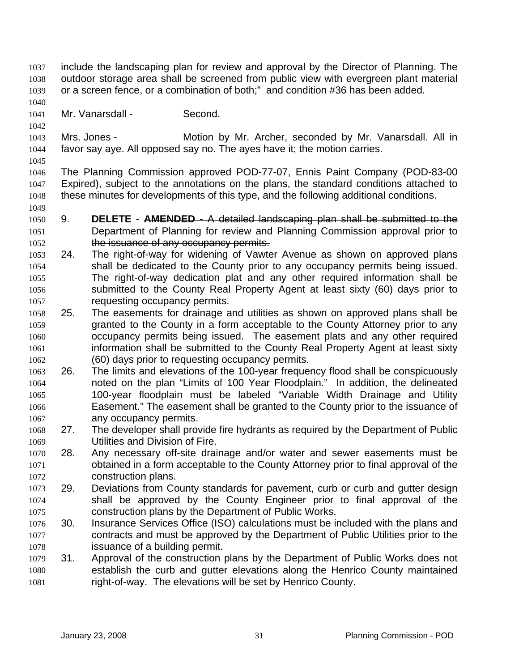- include the landscaping plan for review and approval by the Director of Planning. The outdoor storage area shall be screened from public view with evergreen plant material or a screen fence, or a combination of both;" and condition #36 has been added. 1037 1038 1039
- 1041 Mr. Vanarsdall - Second.
- 1043 1044 Mrs. Jones - Motion by Mr. Archer, seconded by Mr. Vanarsdall. All in favor say aye. All opposed say no. The ayes have it; the motion carries.
- 1045

1049

1040

1042

1046 1047 1048 The Planning Commission approved POD-77-07, Ennis Paint Company (POD-83-00 Expired), subject to the annotations on the plans, the standard conditions attached to these minutes for developments of this type, and the following additional conditions.

- 1050 9. **DELETE AMENDED** A detailed landscaping plan shall be submitted to the 1051 Department of Planning for review and Planning Commission approval prior to 1052 the issuance of any occupancy permits.
- 1053 1054 1055 1056 1057 24. The right-of-way for widening of Vawter Avenue as shown on approved plans shall be dedicated to the County prior to any occupancy permits being issued. The right-of-way dedication plat and any other required information shall be submitted to the County Real Property Agent at least sixty (60) days prior to requesting occupancy permits.
- 1058 1059 1060 1061 1062 25. The easements for drainage and utilities as shown on approved plans shall be granted to the County in a form acceptable to the County Attorney prior to any occupancy permits being issued. The easement plats and any other required information shall be submitted to the County Real Property Agent at least sixty (60) days prior to requesting occupancy permits.
- 1063 1064 1065 1066 1067 26. The limits and elevations of the 100-year frequency flood shall be conspicuously noted on the plan "Limits of 100 Year Floodplain." In addition, the delineated 100-year floodplain must be labeled "Variable Width Drainage and Utility Easement." The easement shall be granted to the County prior to the issuance of any occupancy permits.
- 1068 1069 27. The developer shall provide fire hydrants as required by the Department of Public Utilities and Division of Fire.
- 1070 1071 1072 28. Any necessary off-site drainage and/or water and sewer easements must be obtained in a form acceptable to the County Attorney prior to final approval of the construction plans.
- 1073 1074 1075 29. Deviations from County standards for pavement, curb or curb and gutter design shall be approved by the County Engineer prior to final approval of the construction plans by the Department of Public Works.
- 1076 1077 1078 30. Insurance Services Office (ISO) calculations must be included with the plans and contracts and must be approved by the Department of Public Utilities prior to the issuance of a building permit.
- 1079 1080 1081 31. Approval of the construction plans by the Department of Public Works does not establish the curb and gutter elevations along the Henrico County maintained right-of-way. The elevations will be set by Henrico County.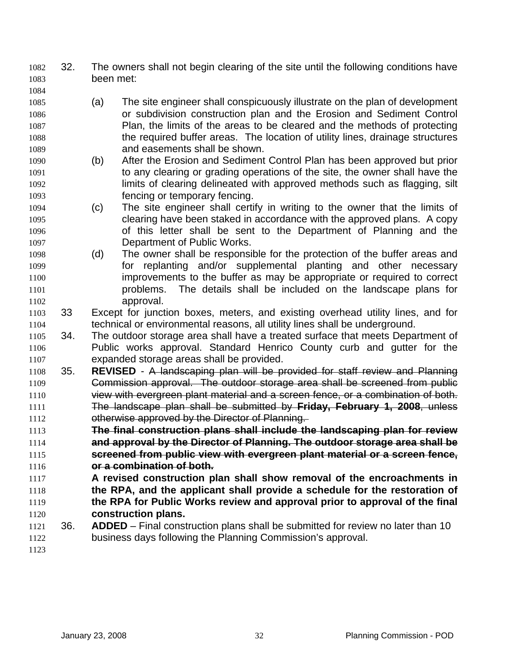- 32. The owners shall not begin clearing of the site until the following conditions have been met: 1082 1083
- 1085 1086 1087 1088 1089 (a) The site engineer shall conspicuously illustrate on the plan of development or subdivision construction plan and the Erosion and Sediment Control Plan, the limits of the areas to be cleared and the methods of protecting the required buffer areas. The location of utility lines, drainage structures and easements shall be shown.
- 1090 1091 1092 1093 (b) After the Erosion and Sediment Control Plan has been approved but prior to any clearing or grading operations of the site, the owner shall have the limits of clearing delineated with approved methods such as flagging, silt fencing or temporary fencing.
- 1094 1095 1096 1097 (c) The site engineer shall certify in writing to the owner that the limits of clearing have been staked in accordance with the approved plans. A copy of this letter shall be sent to the Department of Planning and the Department of Public Works.
- 1098 1099 1100 1101 1102 (d) The owner shall be responsible for the protection of the buffer areas and for replanting and/or supplemental planting and other necessary improvements to the buffer as may be appropriate or required to correct problems. The details shall be included on the landscape plans for approval.
- 1103 1104 33 Except for junction boxes, meters, and existing overhead utility lines, and for technical or environmental reasons, all utility lines shall be underground.
- 1106 1107 1105 34. The outdoor storage area shall have a treated surface that meets Department of Public works approval. Standard Henrico County curb and gutter for the expanded storage areas shall be provided.
- 1108 35. **REVISED**  A landscaping plan will be provided for staff review and Planning 1109 Commission approval. The outdoor storage area shall be screened from public 1110 view with evergreen plant material and a screen fence, or a combination of both. 1111 The landscape plan shall be submitted by **Friday, February 1, 2008**, unless 1112 otherwise approved by the Director of Planning.
- 1113 **The final construction plans shall include the landscaping plan for review**  1114 **and approval by the Director of Planning. The outdoor storage area shall be**  1115 **screened from public view with evergreen plant material or a screen fence,**  1116 **or a combination of both.**
- 1117 1118 1119 1120 **A revised construction plan shall show removal of the encroachments in the RPA, and the applicant shall provide a schedule for the restoration of the RPA for Public Works review and approval prior to approval of the final construction plans.**
- 1121 1122 36. **ADDED** – Final construction plans shall be submitted for review no later than 10 business days following the Planning Commission's approval.
- 1123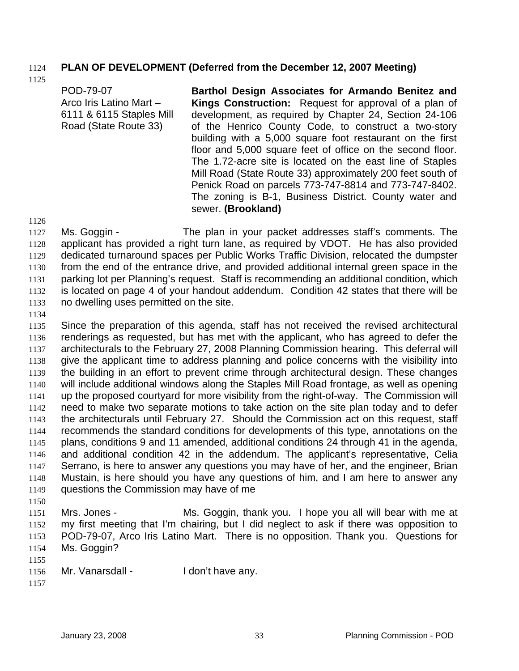### 1124 **PLAN OF DEVELOPMENT (Deferred from the December 12, 2007 Meeting)**

1125

POD-79-07 Arco Iris Latino Mart – 6111 & 6115 Staples Mill Road (State Route 33) **Barthol Design Associates for Armando Benitez and Kings Construction:** Request for approval of a plan of development, as required by Chapter 24, Section 24-106 of the Henrico County Code, to construct a two-story building with a 5,000 square foot restaurant on the first floor and 5,000 square feet of office on the second floor. The 1.72-acre site is located on the east line of Staples Mill Road (State Route 33) approximately 200 feet south of Penick Road on parcels 773-747-8814 and 773-747-8402. The zoning is B-1, Business District. County water and

1126

1127 1128 1129 1130 1131 1132 1133 Ms. Goggin - The plan in your packet addresses staff's comments. The applicant has provided a right turn lane, as required by VDOT. He has also provided dedicated turnaround spaces per Public Works Traffic Division, relocated the dumpster from the end of the entrance drive, and provided additional internal green space in the parking lot per Planning's request. Staff is recommending an additional condition, which is located on page 4 of your handout addendum. Condition 42 states that there will be no dwelling uses permitted on the site.

sewer. **(Brookland)** 

1134

1135 1136 1137 1138 1139 1140 1141 1142 1143 1144 1145 1146 1147 1148 1149 1150 Since the preparation of this agenda, staff has not received the revised architectural renderings as requested, but has met with the applicant, who has agreed to defer the architecturals to the February 27, 2008 Planning Commission hearing. This deferral will give the applicant time to address planning and police concerns with the visibility into the building in an effort to prevent crime through architectural design. These changes will include additional windows along the Staples Mill Road frontage, as well as opening up the proposed courtyard for more visibility from the right-of-way. The Commission will need to make two separate motions to take action on the site plan today and to defer the architecturals until February 27. Should the Commission act on this request, staff recommends the standard conditions for developments of this type, annotations on the plans, conditions 9 and 11 amended, additional conditions 24 through 41 in the agenda, and additional condition 42 in the addendum. The applicant's representative, Celia Serrano, is here to answer any questions you may have of her, and the engineer, Brian Mustain, is here should you have any questions of him, and I am here to answer any questions the Commission may have of me

1151 1152 1153 1154 Mrs. Jones - Ms. Goggin, thank you. I hope you all will bear with me at my first meeting that I'm chairing, but I did neglect to ask if there was opposition to POD-79-07, Arco Iris Latino Mart. There is no opposition. Thank you. Questions for Ms. Goggin?

- 1156 Mr. Vanarsdall - I don't have any.
- 1157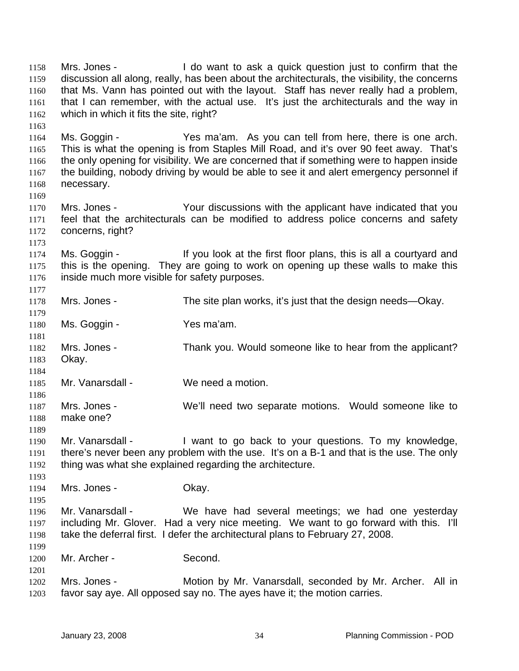Mrs. Jones - I do want to ask a quick question just to confirm that the discussion all along, really, has been about the architecturals, the visibility, the concerns that Ms. Vann has pointed out with the layout. Staff has never really had a problem, that I can remember, with the actual use. It's just the architecturals and the way in which in which it fits the site, right? 1158 1159 1160 1161 1162 1163 1164 1165 1166 1167 1168 1169 1170 1171 1172 1173 1174 1175 1176 1177 1178 1179 1180 1181 1182 1183 1184 1185 1186 1187 1188 1189 1190 1191 1192 1193 1194 1195 1196 1197 1198 1199 1200 1201 1202 1203 Ms. Goggin - Yes ma'am. As you can tell from here, there is one arch. This is what the opening is from Staples Mill Road, and it's over 90 feet away. That's the only opening for visibility. We are concerned that if something were to happen inside the building, nobody driving by would be able to see it and alert emergency personnel if necessary. Mrs. Jones - The Your discussions with the applicant have indicated that you feel that the architecturals can be modified to address police concerns and safety concerns, right? Ms. Goggin - If you look at the first floor plans, this is all a courtyard and this is the opening. They are going to work on opening up these walls to make this inside much more visible for safety purposes. Mrs. Jones - The site plan works, it's just that the design needs—Okay. Ms. Goggin - Yes ma'am. Mrs. Jones - Thank you. Would someone like to hear from the applicant? Okay. Mr. Vanarsdall - We need a motion. Mrs. Jones - We'll need two separate motions. Would someone like to make one? Mr. Vanarsdall - I want to go back to your questions. To my knowledge, there's never been any problem with the use. It's on a B-1 and that is the use. The only thing was what she explained regarding the architecture. Mrs. Jones - Chay. Mr. Vanarsdall - We have had several meetings; we had one yesterday including Mr. Glover. Had a very nice meeting. We want to go forward with this. I'll take the deferral first. I defer the architectural plans to February 27, 2008. Mr. Archer - Second. Mrs. Jones - **Motion by Mr. Vanarsdall, seconded by Mr. Archer.** All in favor say aye. All opposed say no. The ayes have it; the motion carries.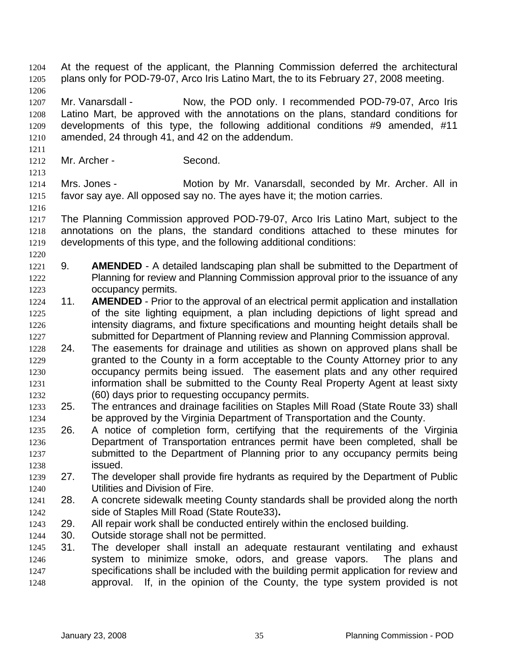At the request of the applicant, the Planning Commission deferred the architectural plans only for POD-79-07, Arco Iris Latino Mart, the to its February 27, 2008 meeting. 1204 1205 1206 1207 1208 1209 1210 1211 1212 1213 1214 1215 1216 1217 1218 1219 1220 1221 1222 1223 1224 1225 1226 1227 1228 1229 1230 1231 1232 1233 1234 1235 1236 1237 1238 1239 1240 1241 1242 1243 1244 1245 1246 1247 1248 Mr. Vanarsdall - Now, the POD only. I recommended POD-79-07, Arco Iris Latino Mart, be approved with the annotations on the plans, standard conditions for developments of this type, the following additional conditions #9 amended, #11 amended, 24 through 41, and 42 on the addendum. Mr. Archer - Second. Mrs. Jones - **Motion by Mr. Vanarsdall, seconded by Mr. Archer. All in** favor say aye. All opposed say no. The ayes have it; the motion carries. The Planning Commission approved POD-79-07, Arco Iris Latino Mart, subject to the annotations on the plans, the standard conditions attached to these minutes for developments of this type, and the following additional conditions: 9. **AMENDED** - A detailed landscaping plan shall be submitted to the Department of Planning for review and Planning Commission approval prior to the issuance of any occupancy permits. 11. **AMENDED** - Prior to the approval of an electrical permit application and installation of the site lighting equipment, a plan including depictions of light spread and intensity diagrams, and fixture specifications and mounting height details shall be submitted for Department of Planning review and Planning Commission approval. 24. The easements for drainage and utilities as shown on approved plans shall be granted to the County in a form acceptable to the County Attorney prior to any occupancy permits being issued. The easement plats and any other required information shall be submitted to the County Real Property Agent at least sixty (60) days prior to requesting occupancy permits. 25. The entrances and drainage facilities on Staples Mill Road (State Route 33) shall be approved by the Virginia Department of Transportation and the County. 26. A notice of completion form, certifying that the requirements of the Virginia Department of Transportation entrances permit have been completed, shall be submitted to the Department of Planning prior to any occupancy permits being issued. 27. The developer shall provide fire hydrants as required by the Department of Public Utilities and Division of Fire. 28. A concrete sidewalk meeting County standards shall be provided along the north side of Staples Mill Road (State Route33)**.** 29. All repair work shall be conducted entirely within the enclosed building. 30. Outside storage shall not be permitted. 31. The developer shall install an adequate restaurant ventilating and exhaust system to minimize smoke, odors, and grease vapors. The plans and specifications shall be included with the building permit application for review and approval. If, in the opinion of the County, the type system provided is not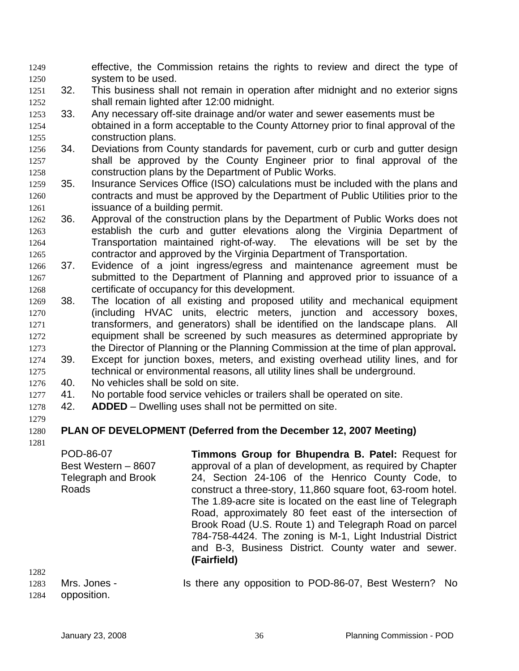- effective, the Commission retains the rights to review and direct the type of system to be used. 1249 1250
- 1251 1252 32. This business shall not remain in operation after midnight and no exterior signs shall remain lighted after 12:00 midnight.
- 1253 1254 1255 33. Any necessary off-site drainage and/or water and sewer easements must be obtained in a form acceptable to the County Attorney prior to final approval of the construction plans.
- 1256 1257 1258 34. Deviations from County standards for pavement, curb or curb and gutter design shall be approved by the County Engineer prior to final approval of the construction plans by the Department of Public Works.
- 1259 1260 1261 35. Insurance Services Office (ISO) calculations must be included with the plans and contracts and must be approved by the Department of Public Utilities prior to the issuance of a building permit.
- 1262 1263 1264 1265 36. Approval of the construction plans by the Department of Public Works does not establish the curb and gutter elevations along the Virginia Department of Transportation maintained right-of-way. The elevations will be set by the contractor and approved by the Virginia Department of Transportation.
- 1266 1267 1268 37. Evidence of a joint ingress/egress and maintenance agreement must be submitted to the Department of Planning and approved prior to issuance of a certificate of occupancy for this development.
- 1269 1270 1271 1272 1273 1274 38. The location of all existing and proposed utility and mechanical equipment (including HVAC units, electric meters, junction and accessory boxes, transformers, and generators) shall be identified on the landscape plans. All equipment shall be screened by such measures as determined appropriate by the Director of Planning or the Planning Commission at the time of plan approval**.**  39. Except for junction boxes, meters, and existing overhead utility lines, and for

1275 technical or environmental reasons, all utility lines shall be underground.

- 1276 40. No vehicles shall be sold on site.
- 1277 41. No portable food service vehicles or trailers shall be operated on site.
- 1278 42. **ADDED** – Dwelling uses shall not be permitted on site.

#### 1280 **PLAN OF DEVELOPMENT (Deferred from the December 12, 2007 Meeting)**

1281

1279

POD-86-07 Best Western – 8607 Telegraph and Brook Roads **Timmons Group for Bhupendra B. Patel:** Request for approval of a plan of development, as required by Chapter 24, Section 24-106 of the Henrico County Code, to construct a three-story, 11,860 square foot, 63-room hotel. The 1.89-acre site is located on the east line of Telegraph Road, approximately 80 feet east of the intersection of Brook Road (U.S. Route 1) and Telegraph Road on parcel 784-758-4424. The zoning is M-1, Light Industrial District and B-3, Business District. County water and sewer. **(Fairfield)**

| 1283 | Mrs. Jones -     |  |  | Is there any opposition to POD-86-07, Best Western? No |  |
|------|------------------|--|--|--------------------------------------------------------|--|
|      | 1284 opposition. |  |  |                                                        |  |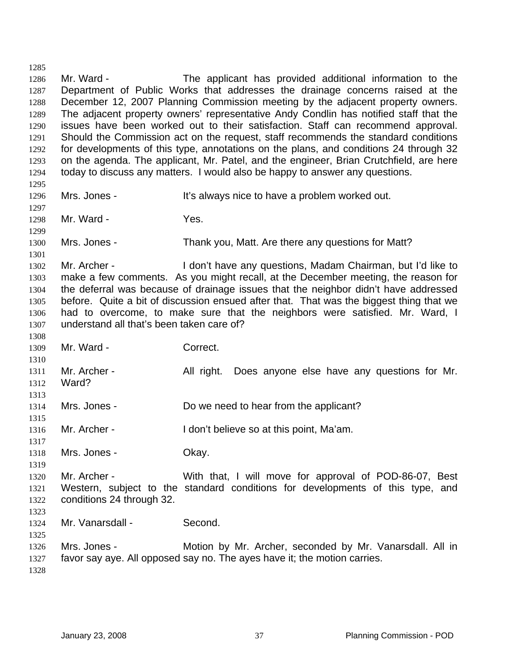1286 1287 1288 1289 1290 1291 1292 1293 1294 1295 1296 1297 1298 1299 1300 1301 1302 1303 1304 1305 1306 1307 1308 1309 1310 1311 1312 1313 1314 1315 1316 1317 1318 1319 1320 1321 1322 1323 1324 1325 1326 1327 1328 Mr. Ward - The applicant has provided additional information to the Department of Public Works that addresses the drainage concerns raised at the December 12, 2007 Planning Commission meeting by the adjacent property owners. The adjacent property owners' representative Andy Condlin has notified staff that the issues have been worked out to their satisfaction. Staff can recommend approval. Should the Commission act on the request, staff recommends the standard conditions for developments of this type, annotations on the plans, and conditions 24 through 32 on the agenda. The applicant, Mr. Patel, and the engineer, Brian Crutchfield, are here today to discuss any matters. I would also be happy to answer any questions. Mrs. Jones - It's always nice to have a problem worked out. Mr. Ward - The Yes. Mrs. Jones - Thank you, Matt. Are there any questions for Matt? Mr. Archer - I don't have any questions, Madam Chairman, but I'd like to make a few comments. As you might recall, at the December meeting, the reason for the deferral was because of drainage issues that the neighbor didn't have addressed before. Quite a bit of discussion ensued after that. That was the biggest thing that we had to overcome, to make sure that the neighbors were satisfied. Mr. Ward, I understand all that's been taken care of? Mr. Ward - Correct. Mr. Archer - All right. Does anyone else have any questions for Mr. Ward? Mrs. Jones - Do we need to hear from the applicant? Mr. Archer - The I don't believe so at this point, Ma'am. Mrs. Jones - Chay. Mr. Archer - With that, I will move for approval of POD-86-07, Best Western, subject to the standard conditions for developments of this type, and conditions 24 through 32. Mr. Vanarsdall - Second. Mrs. Jones - **Motion by Mr. Archer, seconded by Mr. Vanarsdall. All in** favor say aye. All opposed say no. The ayes have it; the motion carries.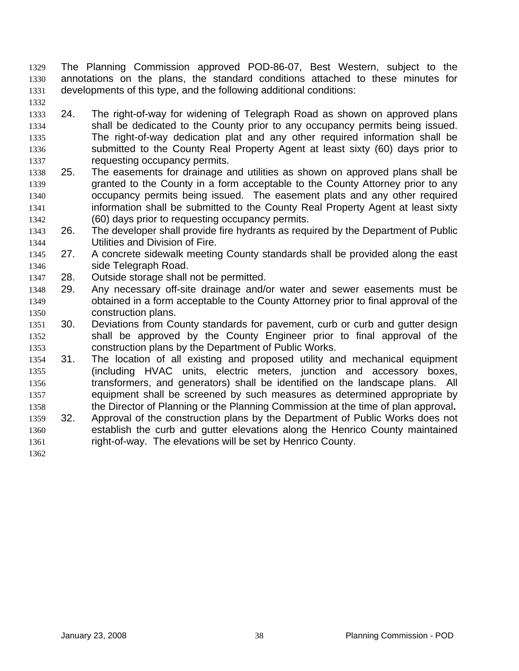- The Planning Commission approved POD-86-07, Best Western, subject to the annotations on the plans, the standard conditions attached to these minutes for developments of this type, and the following additional conditions: 1329 1330 1331
- 1332 1333 1334 24. The right-of-way for widening of Telegraph Road as shown on approved plans
- 1335 1336 1337 shall be dedicated to the County prior to any occupancy permits being issued. The right-of-way dedication plat and any other required information shall be submitted to the County Real Property Agent at least sixty (60) days prior to requesting occupancy permits.
- 1338 1339 1340 1341 1342 25. The easements for drainage and utilities as shown on approved plans shall be granted to the County in a form acceptable to the County Attorney prior to any occupancy permits being issued. The easement plats and any other required information shall be submitted to the County Real Property Agent at least sixty (60) days prior to requesting occupancy permits.
- 1343 1344 26. The developer shall provide fire hydrants as required by the Department of Public Utilities and Division of Fire.
- 1345 1346 27. A concrete sidewalk meeting County standards shall be provided along the east side Telegraph Road.
- 1347 28. Outside storage shall not be permitted.
- 1348 1349 1350 29. Any necessary off-site drainage and/or water and sewer easements must be obtained in a form acceptable to the County Attorney prior to final approval of the construction plans.
- 1351 1352 1353 30. Deviations from County standards for pavement, curb or curb and gutter design shall be approved by the County Engineer prior to final approval of the construction plans by the Department of Public Works.
- 1354 1355 1356 1357 1358 31. The location of all existing and proposed utility and mechanical equipment (including HVAC units, electric meters, junction and accessory boxes, transformers, and generators) shall be identified on the landscape plans. All equipment shall be screened by such measures as determined appropriate by the Director of Planning or the Planning Commission at the time of plan approval**.**
- 1359 1360 1361 32. Approval of the construction plans by the Department of Public Works does not establish the curb and gutter elevations along the Henrico County maintained right-of-way. The elevations will be set by Henrico County.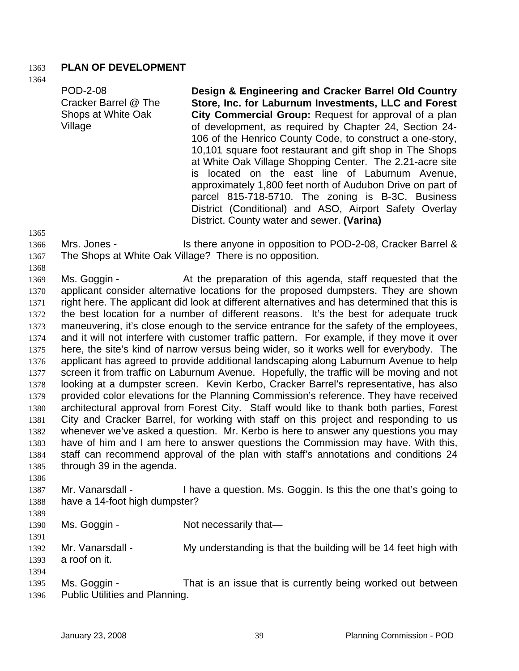### 1363 **PLAN OF DEVELOPMENT**

1364

| <b>POD-2-08</b>      | Design & Engineering and Cracker Barrel Old Country        |
|----------------------|------------------------------------------------------------|
| Cracker Barrel @ The | Store, Inc. for Laburnum Investments, LLC and Forest       |
| Shops at White Oak   | City Commercial Group: Request for approval of a plan      |
| Village              | of development, as required by Chapter 24, Section 24-     |
|                      | 106 of the Henrico County Code, to construct a one-story,  |
|                      | 10,101 square foot restaurant and gift shop in The Shops   |
|                      | at White Oak Village Shopping Center. The 2.21-acre site   |
|                      | is located on the east line of Laburnum Avenue,            |
|                      | approximately 1,800 feet north of Audubon Drive on part of |
|                      | parcel 815-718-5710. The zoning is B-3C, Business          |
|                      | District (Conditional) and ASO, Airport Safety Overlay     |
|                      | District. County water and sewer. (Varina)                 |

1365

- 1366 1367 Mrs. Jones - Is there anyone in opposition to POD-2-08, Cracker Barrel & The Shops at White Oak Village? There is no opposition.
- 1368

1369 1370 1371 1372 1373 1374 1375 1376 1377 1378 1379 1380 1381 1382 1383 1384 1385 Ms. Goggin - The At the preparation of this agenda, staff requested that the applicant consider alternative locations for the proposed dumpsters. They are shown right here. The applicant did look at different alternatives and has determined that this is the best location for a number of different reasons. It's the best for adequate truck maneuvering, it's close enough to the service entrance for the safety of the employees, and it will not interfere with customer traffic pattern. For example, if they move it over here, the site's kind of narrow versus being wider, so it works well for everybody. The applicant has agreed to provide additional landscaping along Laburnum Avenue to help screen it from traffic on Laburnum Avenue. Hopefully, the traffic will be moving and not looking at a dumpster screen. Kevin Kerbo, Cracker Barrel's representative, has also provided color elevations for the Planning Commission's reference. They have received architectural approval from Forest City. Staff would like to thank both parties, Forest City and Cracker Barrel, for working with staff on this project and responding to us whenever we've asked a question. Mr. Kerbo is here to answer any questions you may have of him and I am here to answer questions the Commission may have. With this, staff can recommend approval of the plan with staff's annotations and conditions 24 through 39 in the agenda.

- 1386
- 1387 1388 Mr. Vanarsdall - I have a question. Ms. Goggin. Is this the one that's going to have a 14-foot high dumpster?
- 1389

1391

- 1390 Ms. Goggin - Not necessarily that—
- 1392 1393 Mr. Vanarsdall - My understanding is that the building will be 14 feet high with a roof on it.
- 1395 1396 Ms. Goggin - That is an issue that is currently being worked out between Public Utilities and Planning.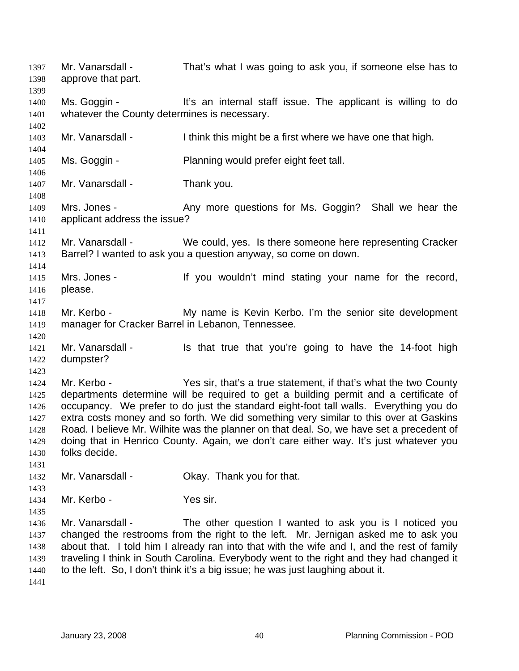Mr. Vanarsdall - That's what I was going to ask you, if someone else has to approve that part. 1397 1398 1399 1400 1401 1402 1403 1404 1405 1406 1407 1408 1409 1410 1411 1412 1413 1414 1415 1416 1417 1418 1419 1420 1421 1422 1423 1424 1425 1426 1427 1428 1429 1430 1431 1432 1433 1434 1435 1436 1437 1438 1439 1440 1441 Ms. Goggin - It's an internal staff issue. The applicant is willing to do whatever the County determines is necessary. Mr. Vanarsdall - I think this might be a first where we have one that high. Ms. Goggin - Planning would prefer eight feet tall. Mr. Vanarsdall - Thank you. Mrs. Jones - The Many more questions for Ms. Goggin? Shall we hear the applicant address the issue? Mr. Vanarsdall - We could, yes. Is there someone here representing Cracker Barrel? I wanted to ask you a question anyway, so come on down. Mrs. Jones - If you wouldn't mind stating your name for the record, please. Mr. Kerbo - **My name is Kevin Kerbo.** I'm the senior site development manager for Cracker Barrel in Lebanon, Tennessee. Mr. Vanarsdall - Is that true that you're going to have the 14-foot high dumpster? Mr. Kerbo - Yes sir, that's a true statement, if that's what the two County departments determine will be required to get a building permit and a certificate of occupancy. We prefer to do just the standard eight-foot tall walls. Everything you do extra costs money and so forth. We did something very similar to this over at Gaskins Road. I believe Mr. Wilhite was the planner on that deal. So, we have set a precedent of doing that in Henrico County. Again, we don't care either way. It's just whatever you folks decide. Mr. Vanarsdall - Ckay. Thank you for that. Mr. Kerbo - Yes sir. Mr. Vanarsdall - The other question I wanted to ask you is I noticed you changed the restrooms from the right to the left. Mr. Jernigan asked me to ask you about that. I told him I already ran into that with the wife and I, and the rest of family traveling I think in South Carolina. Everybody went to the right and they had changed it to the left. So, I don't think it's a big issue; he was just laughing about it.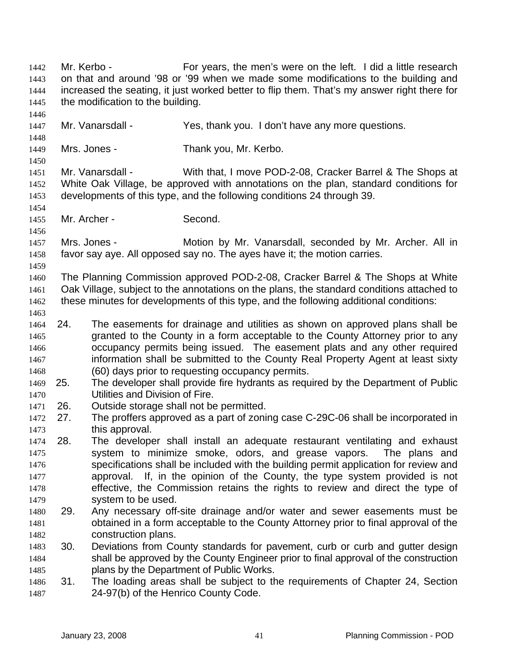Mr. Kerbo - For years, the men's were on the left. I did a little research on that and around '98 or '99 when we made some modifications to the building and increased the seating, it just worked better to flip them. That's my answer right there for the modification to the building. 1442 1443 1444 1445 1446 1447 1448 1449 1450 1451 1452 1453 1454 1455 1456 1457 1458 1459 1460 1461 1462 1463 1465 1466 1467 1468 1469 1470 1471 1472 1473 1474 1475 1476 1477 1478 1479 1480 1481 1482 1483 1484 1485 1486 1487 Mr. Vanarsdall - Yes, thank you. I don't have any more questions. Mrs. Jones - Thank you, Mr. Kerbo. Mr. Vanarsdall - With that, I move POD-2-08, Cracker Barrel & The Shops at White Oak Village, be approved with annotations on the plan, standard conditions for developments of this type, and the following conditions 24 through 39. Mr. Archer - Second. Mrs. Jones - **Motion by Mr. Vanarsdall, seconded by Mr. Archer. All in** favor say aye. All opposed say no. The ayes have it; the motion carries. The Planning Commission approved POD-2-08, Cracker Barrel & The Shops at White Oak Village, subject to the annotations on the plans, the standard conditions attached to these minutes for developments of this type, and the following additional conditions: 1464 24. The easements for drainage and utilities as shown on approved plans shall be granted to the County in a form acceptable to the County Attorney prior to any occupancy permits being issued. The easement plats and any other required information shall be submitted to the County Real Property Agent at least sixty (60) days prior to requesting occupancy permits. 25. The developer shall provide fire hydrants as required by the Department of Public Utilities and Division of Fire. 26. Outside storage shall not be permitted. 27. The proffers approved as a part of zoning case C-29C-06 shall be incorporated in this approval. 28. The developer shall install an adequate restaurant ventilating and exhaust system to minimize smoke, odors, and grease vapors. The plans and specifications shall be included with the building permit application for review and approval. If, in the opinion of the County, the type system provided is not effective, the Commission retains the rights to review and direct the type of system to be used. 29. Any necessary off-site drainage and/or water and sewer easements must be obtained in a form acceptable to the County Attorney prior to final approval of the construction plans. 30. Deviations from County standards for pavement, curb or curb and gutter design shall be approved by the County Engineer prior to final approval of the construction plans by the Department of Public Works. 31. The loading areas shall be subject to the requirements of Chapter 24, Section 24-97(b) of the Henrico County Code.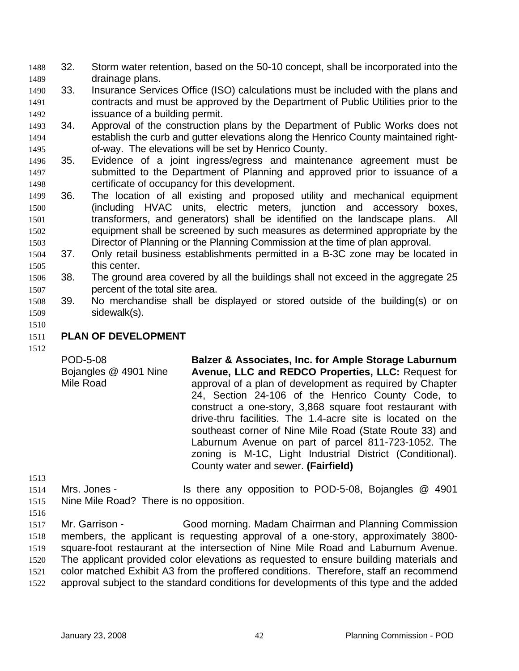- 32. Storm water retention, based on the 50-10 concept, shall be incorporated into the drainage plans. 1488 1489
- 1490 1491 1492 33. Insurance Services Office (ISO) calculations must be included with the plans and contracts and must be approved by the Department of Public Utilities prior to the issuance of a building permit.
- 1494 1495 1493 34. Approval of the construction plans by the Department of Public Works does not establish the curb and gutter elevations along the Henrico County maintained rightof-way. The elevations will be set by Henrico County.
- 1496 1497 1498 35. Evidence of a joint ingress/egress and maintenance agreement must be submitted to the Department of Planning and approved prior to issuance of a certificate of occupancy for this development.
- 1499 1500 1501 1502 1503 36. The location of all existing and proposed utility and mechanical equipment (including HVAC units, electric meters, junction and accessory boxes, transformers, and generators) shall be identified on the landscape plans. All equipment shall be screened by such measures as determined appropriate by the Director of Planning or the Planning Commission at the time of plan approval.
- 1504 1505 37. Only retail business establishments permitted in a B-3C zone may be located in this center.
- 1506 1507 38. The ground area covered by all the buildings shall not exceed in the aggregate 25 percent of the total site area.
- 1508 1509 39. No merchandise shall be displayed or stored outside of the building(s) or on sidewalk(s).
- 1510

#### 1511 **PLAN OF DEVELOPMENT**

1512

POD-5-08 Bojangles @ 4901 Nine Mile Road **Balzer & Associates, Inc. for Ample Storage Laburnum Avenue, LLC and REDCO Properties, LLC:** Request for approval of a plan of development as required by Chapter 24, Section 24-106 of the Henrico County Code, to construct a one-story, 3,868 square foot restaurant with drive-thru facilities. The 1.4-acre site is located on the southeast corner of Nine Mile Road (State Route 33) and Laburnum Avenue on part of parcel 811-723-1052. The zoning is M-1C, Light Industrial District (Conditional). County water and sewer. **(Fairfield)** 

- 1513
- 1514 1515 Mrs. Jones - Is there any opposition to POD-5-08, Bojangles @ 4901 Nine Mile Road? There is no opposition.
- 1516

1517 1518 1519 1520 1521 1522 Mr. Garrison - Good morning. Madam Chairman and Planning Commission members, the applicant is requesting approval of a one-story, approximately 3800 square-foot restaurant at the intersection of Nine Mile Road and Laburnum Avenue. The applicant provided color elevations as requested to ensure building materials and color matched Exhibit A3 from the proffered conditions. Therefore, staff an recommend approval subject to the standard conditions for developments of this type and the added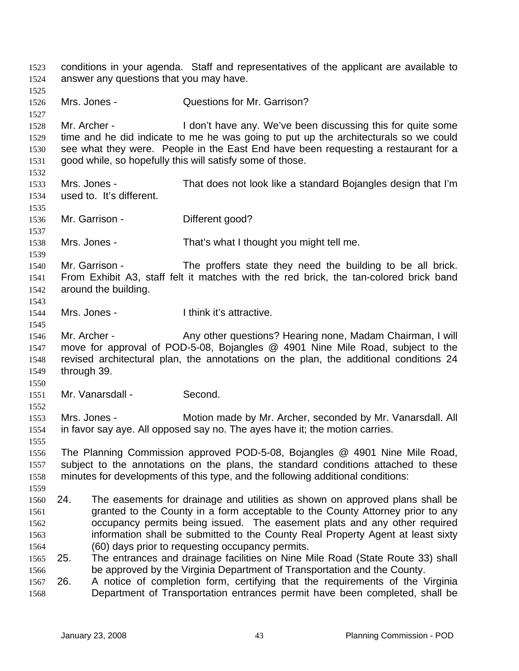conditions in your agenda. Staff and representatives of the applicant are available to answer any questions that you may have. 1523 1524 1525 1526 1527 1528 1529 1530 1531 1532 1533 1534 1535 1536 1537 1538 1539 1540 1541 1542 1543 1544 1545 1546 1547 1548 1549 1550 1551 1552 1553 1554 1555 1556 1557 1558 1559 1561 1562 1563 1564 1566 1568 Mrs. Jones - **Cuestions for Mr. Garrison?** Mr. Archer - I don't have any. We've been discussing this for quite some time and he did indicate to me he was going to put up the architecturals so we could see what they were. People in the East End have been requesting a restaurant for a good while, so hopefully this will satisfy some of those. Mrs. Jones - That does not look like a standard Bojangles design that I'm used to. It's different. Mr. Garrison - Different good? Mrs. Jones - That's what I thought you might tell me. Mr. Garrison - The proffers state they need the building to be all brick. From Exhibit A3, staff felt it matches with the red brick, the tan-colored brick band around the building. Mrs. Jones - Think it's attractive. Mr. Archer - Any other questions? Hearing none, Madam Chairman, I will move for approval of POD-5-08, Bojangles @ 4901 Nine Mile Road, subject to the revised architectural plan, the annotations on the plan, the additional conditions 24 through 39. Mr. Vanarsdall - Second. Mrs. Jones - Motion made by Mr. Archer, seconded by Mr. Vanarsdall. All in favor say aye. All opposed say no. The ayes have it; the motion carries. The Planning Commission approved POD-5-08, Bojangles @ 4901 Nine Mile Road, subject to the annotations on the plans, the standard conditions attached to these minutes for developments of this type, and the following additional conditions: 1560 24. The easements for drainage and utilities as shown on approved plans shall be granted to the County in a form acceptable to the County Attorney prior to any occupancy permits being issued. The easement plats and any other required information shall be submitted to the County Real Property Agent at least sixty (60) days prior to requesting occupancy permits. 1565 25. The entrances and drainage facilities on Nine Mile Road (State Route 33) shall be approved by the Virginia Department of Transportation and the County. 1567 26. A notice of completion form, certifying that the requirements of the Virginia Department of Transportation entrances permit have been completed, shall be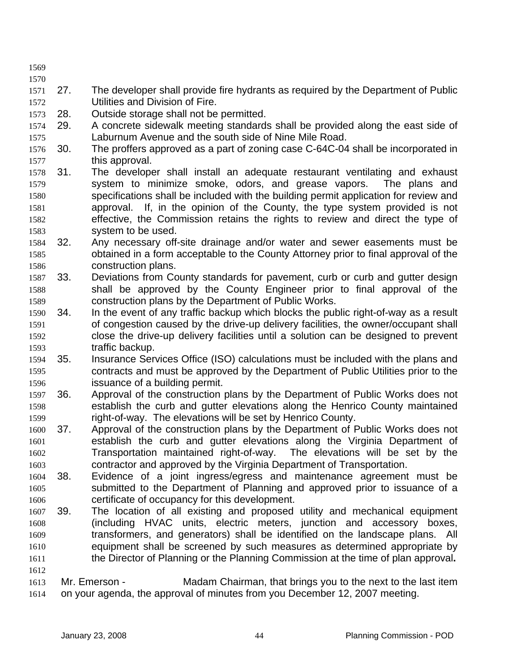1569

- 1570
- 1572 1571 27. The developer shall provide fire hydrants as required by the Department of Public Utilities and Division of Fire.
- 1573 28. Outside storage shall not be permitted.
- 1575 1574 29. A concrete sidewalk meeting standards shall be provided along the east side of Laburnum Avenue and the south side of Nine Mile Road.
- 1577 1576 30. The proffers approved as a part of zoning case C-64C-04 shall be incorporated in this approval.
- 1579 1580 1581 1582 1583 1578 31. The developer shall install an adequate restaurant ventilating and exhaust system to minimize smoke, odors, and grease vapors. The plans and specifications shall be included with the building permit application for review and approval. If, in the opinion of the County, the type system provided is not effective, the Commission retains the rights to review and direct the type of system to be used.
- 1585 1586 1584 32. Any necessary off-site drainage and/or water and sewer easements must be obtained in a form acceptable to the County Attorney prior to final approval of the construction plans.
- 1588 1589 1587 33. Deviations from County standards for pavement, curb or curb and gutter design shall be approved by the County Engineer prior to final approval of the construction plans by the Department of Public Works.
- 1591 1592 1593 1590 34. In the event of any traffic backup which blocks the public right-of-way as a result of congestion caused by the drive-up delivery facilities, the owner/occupant shall close the drive-up delivery facilities until a solution can be designed to prevent traffic backup.
- 1595 1596 1594 35. Insurance Services Office (ISO) calculations must be included with the plans and contracts and must be approved by the Department of Public Utilities prior to the issuance of a building permit.
- 1598 1599 1597 36. Approval of the construction plans by the Department of Public Works does not establish the curb and gutter elevations along the Henrico County maintained right-of-way. The elevations will be set by Henrico County.
- 1600 1601 1602 1603 37. Approval of the construction plans by the Department of Public Works does not establish the curb and gutter elevations along the Virginia Department of Transportation maintained right-of-way. The elevations will be set by the contractor and approved by the Virginia Department of Transportation.
- 1604 1605 1606 38. Evidence of a joint ingress/egress and maintenance agreement must be submitted to the Department of Planning and approved prior to issuance of a certificate of occupancy for this development.
- 1607 1608 1609 1610 1611 39. The location of all existing and proposed utility and mechanical equipment (including HVAC units, electric meters, junction and accessory boxes, transformers, and generators) shall be identified on the landscape plans. All equipment shall be screened by such measures as determined appropriate by the Director of Planning or the Planning Commission at the time of plan approval**.**
- 1613 1614 Mr. Emerson - Madam Chairman, that brings you to the next to the last item on your agenda, the approval of minutes from you December 12, 2007 meeting.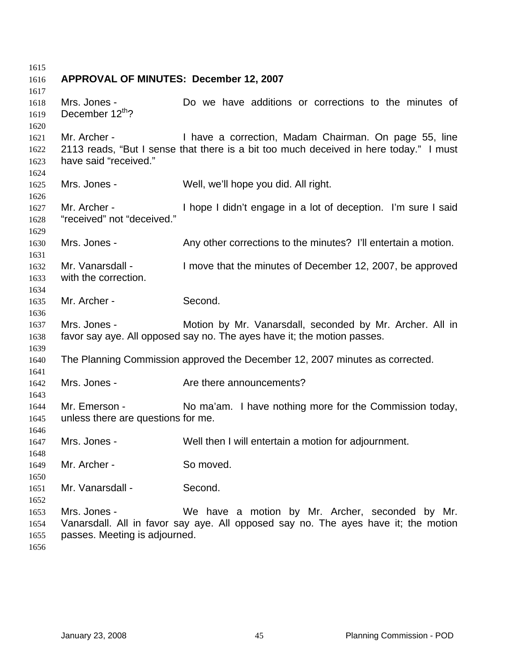| 1615<br>1616 | APPROVAL OF MINUTES: December 12, 2007 |                                                                                       |
|--------------|----------------------------------------|---------------------------------------------------------------------------------------|
| 1617         |                                        |                                                                                       |
| 1618         | Mrs. Jones -                           | Do we have additions or corrections to the minutes of                                 |
| 1619         | December 12th?                         |                                                                                       |
| 1620         |                                        |                                                                                       |
| 1621         | Mr. Archer -                           | I have a correction, Madam Chairman. On page 55, line                                 |
| 1622         |                                        | 2113 reads, "But I sense that there is a bit too much deceived in here today." I must |
| 1623         | have said "received."                  |                                                                                       |
| 1624         |                                        |                                                                                       |
| 1625         | Mrs. Jones -                           | Well, we'll hope you did. All right.                                                  |
| 1626         | Mr. Archer -                           |                                                                                       |
| 1627<br>1628 | "received" not "deceived."             | I hope I didn't engage in a lot of deception. I'm sure I said                         |
| 1629         |                                        |                                                                                       |
| 1630         | Mrs. Jones -                           | Any other corrections to the minutes? I'll entertain a motion.                        |
| 1631         |                                        |                                                                                       |
| 1632         | Mr. Vanarsdall -                       | I move that the minutes of December 12, 2007, be approved                             |
| 1633         | with the correction.                   |                                                                                       |
| 1634         |                                        |                                                                                       |
| 1635         | Mr. Archer -                           | Second.                                                                               |
| 1636         |                                        |                                                                                       |
| 1637         | Mrs. Jones -                           | Motion by Mr. Vanarsdall, seconded by Mr. Archer. All in                              |
| 1638         |                                        | favor say aye. All opposed say no. The ayes have it; the motion passes.               |
| 1639         |                                        | The Planning Commission approved the December 12, 2007 minutes as corrected.          |
| 1640<br>1641 |                                        |                                                                                       |
| 1642         | Mrs. Jones -                           | Are there announcements?                                                              |
| 1643         |                                        |                                                                                       |
| 1644         | Mr. Emerson -                          | No ma'am. I have nothing more for the Commission today,                               |
| 1645         | unless there are questions for me.     |                                                                                       |
| 1646         |                                        |                                                                                       |
| 1647         | Mrs. Jones -                           | Well then I will entertain a motion for adjournment.                                  |
| 1648         |                                        |                                                                                       |
| 1649         | Mr. Archer -                           | So moved.                                                                             |
| 1650         |                                        |                                                                                       |
| 1651         | Mr. Vanarsdall -                       | Second.                                                                               |
| 1652<br>1653 | Mrs. Jones -                           | We have a motion by Mr. Archer, seconded by Mr.                                       |
| 1654         |                                        | Vanarsdall. All in favor say aye. All opposed say no. The ayes have it; the motion    |
| 1655         | passes. Meeting is adjourned.          |                                                                                       |
| 1656         |                                        |                                                                                       |